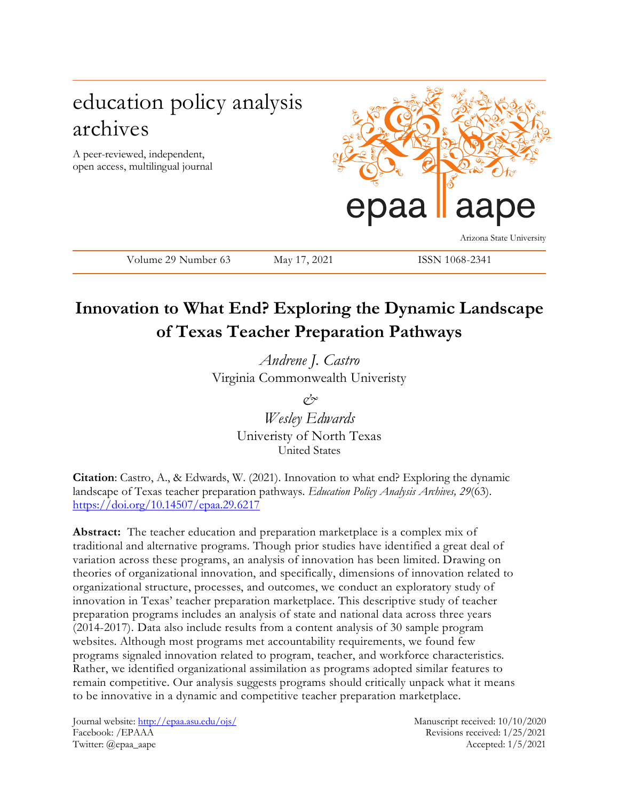# education policy analysis archives

A peer-reviewed, independent, open access, multilingual journal



Volume 29 Number 63 May 17, 2021 ISSN 1068-2341

Arizona State University

# **Innovation to What End? Exploring the Dynamic Landscape of Texas Teacher Preparation Pathways**

*Andrene J. Castro* Virginia Commonwealth Univeristy

> *& Wesley Edwards*  Univeristy of North Texas United States

**Citation**: Castro, A., & Edwards, W. (2021). Innovation to what end? Exploring the dynamic landscape of Texas teacher preparation pathways. *Education Policy Analysis Archives, 29*(63). <https://doi.org/10.14507/epaa.29.6217>

**Abstract:** The teacher education and preparation marketplace is a complex mix of traditional and alternative programs. Though prior studies have identified a great deal of variation across these programs, an analysis of innovation has been limited. Drawing on theories of organizational innovation, and specifically, dimensions of innovation related to organizational structure, processes, and outcomes, we conduct an exploratory study of innovation in Texas' teacher preparation marketplace. This descriptive study of teacher preparation programs includes an analysis of state and national data across three years (2014-2017). Data also include results from a content analysis of 30 sample program websites. Although most programs met accountability requirements, we found few programs signaled innovation related to program, teacher, and workforce characteristics. Rather, we identified organizational assimilation as programs adopted similar features to remain competitive. Our analysis suggests programs should critically unpack what it means to be innovative in a dynamic and competitive teacher preparation marketplace.

Journal website:<http://epaa.asu.edu/ojs/> Manuscript received: 10/10/2020 Facebook: /EPAAA Revisions received: 1/25/2021 Twitter: @epaa\_aape Accepted: 1/5/2021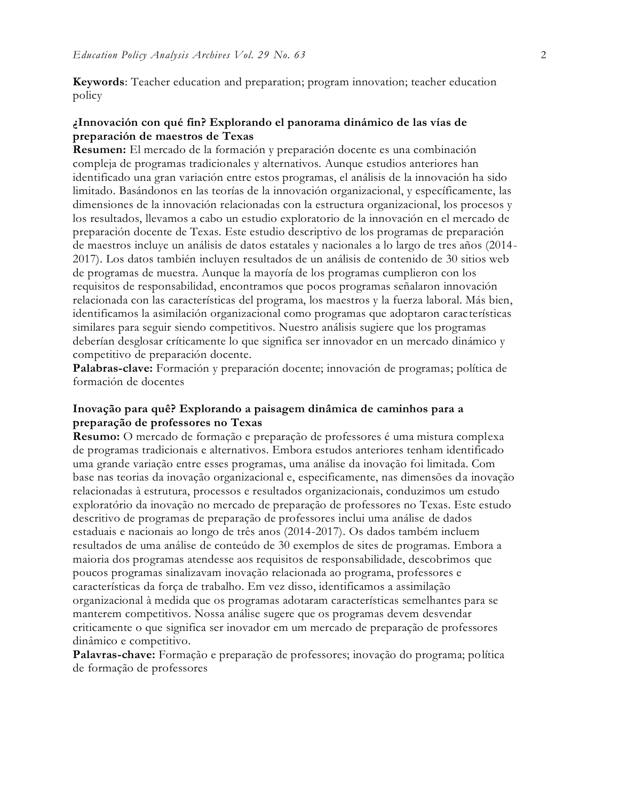**Keywords**: Teacher education and preparation; program innovation; teacher education policy

### **¿Innovación con qué fin? Explorando el panorama dinámico de las vías de preparación de maestros de Texas**

**Resumen:** El mercado de la formación y preparación docente es una combinación compleja de programas tradicionales y alternativos. Aunque estudios anteriores han identificado una gran variación entre estos programas, el análisis de la innovación ha sido limitado. Basándonos en las teorías de la innovación organizacional, y específicamente, las dimensiones de la innovación relacionadas con la estructura organizacional, los procesos y los resultados, llevamos a cabo un estudio exploratorio de la innovación en el mercado de preparación docente de Texas. Este estudio descriptivo de los programas de preparación de maestros incluye un análisis de datos estatales y nacionales a lo largo de tres años (2014- 2017). Los datos también incluyen resultados de un análisis de contenido de 30 sitios web de programas de muestra. Aunque la mayoría de los programas cumplieron con los requisitos de responsabilidad, encontramos que pocos programas señalaron innovación relacionada con las características del programa, los maestros y la fuerza laboral. Más bien, identificamos la asimilación organizacional como programas que adoptaron carac terísticas similares para seguir siendo competitivos. Nuestro análisis sugiere que los programas deberían desglosar críticamente lo que significa ser innovador en un mercado dinámico y competitivo de preparación docente.

**Palabras-clave:** Formación y preparación docente; innovación de programas; política de formación de docentes

### **Inovação para quê? Explorando a paisagem dinâmica de caminhos para a preparação de professores no Texas**

**Resumo:** O mercado de formação e preparação de professores é uma mistura complexa de programas tradicionais e alternativos. Embora estudos anteriores tenham identificado uma grande variação entre esses programas, uma análise da inovação foi limitada. Com base nas teorias da inovação organizacional e, especificamente, nas dimensões da inovação relacionadas à estrutura, processos e resultados organizacionais, conduzimos um estudo exploratório da inovação no mercado de preparação de professores no Texas. Este estudo descritivo de programas de preparação de professores inclui uma análise de dados estaduais e nacionais ao longo de três anos (2014-2017). Os dados também incluem resultados de uma análise de conteúdo de 30 exemplos de sites de programas. Embora a maioria dos programas atendesse aos requisitos de responsabilidade, descobrimos que poucos programas sinalizavam inovação relacionada ao programa, professores e características da força de trabalho. Em vez disso, identificamos a assimilação organizacional à medida que os programas adotaram características semelhantes para se manterem competitivos. Nossa análise sugere que os programas devem desvendar criticamente o que significa ser inovador em um mercado de preparação de professores dinâmico e competitivo.

**Palavras-chave:** Formação e preparação de professores; inovação do programa; política de formação de professores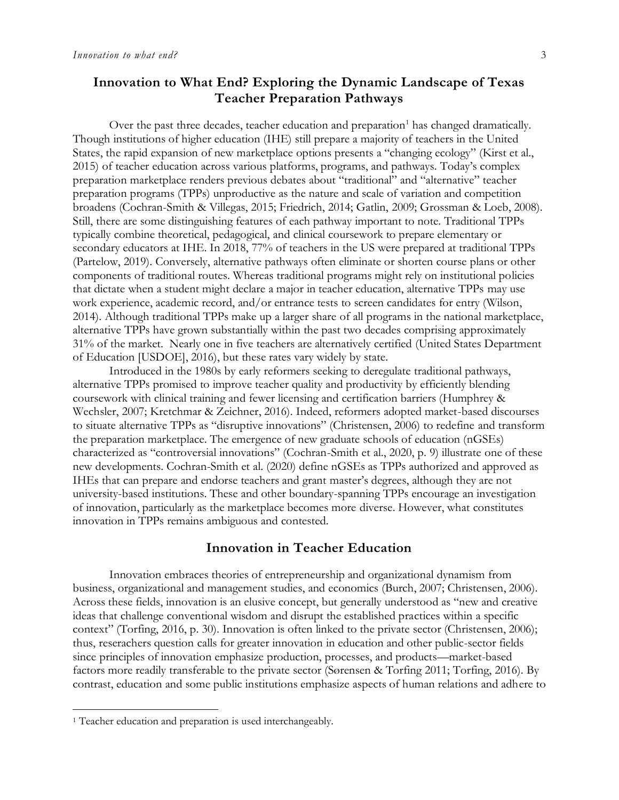### **Innovation to What End? Exploring the Dynamic Landscape of Texas Teacher Preparation Pathways**

Over the past three decades, teacher education and preparation<sup>1</sup> has changed dramatically. Though institutions of higher education (IHE) still prepare a majority of teachers in the United States, the rapid expansion of new marketplace options presents a "changing ecology" (Kirst et al., 2015) of teacher education across various platforms, programs, and pathways. Today's complex preparation marketplace renders previous debates about "traditional" and "alternative" teacher preparation programs (TPPs) unproductive as the nature and scale of variation and competition broadens (Cochran-Smith & Villegas, 2015; Friedrich, 2014; Gatlin, 2009; Grossman & Loeb, 2008). Still, there are some distinguishing features of each pathway important to note. Traditional TPPs typically combine theoretical, pedagogical, and clinical coursework to prepare elementary or secondary educators at IHE. In 2018, 77% of teachers in the US were prepared at traditional TPPs (Partelow, 2019). Conversely, alternative pathways often eliminate or shorten course plans or other components of traditional routes. Whereas traditional programs might rely on institutional policies that dictate when a student might declare a major in teacher education, alternative TPPs may use work experience, academic record, and/or entrance tests to screen candidates for entry (Wilson, 2014). Although traditional TPPs make up a larger share of all programs in the national marketplace, alternative TPPs have grown substantially within the past two decades comprising approximately 31% of the market. Nearly one in five teachers are alternatively certified (United States Department of Education [USDOE], 2016), but these rates vary widely by state.

Introduced in the 1980s by early reformers seeking to deregulate traditional pathways, alternative TPPs promised to improve teacher quality and productivity by efficiently blending coursework with clinical training and fewer licensing and certification barriers (Humphrey & Wechsler, 2007; Kretchmar & Zeichner, 2016). Indeed, reformers adopted market-based discourses to situate alternative TPPs as "disruptive innovations" (Christensen, 2006) to redefine and transform the preparation marketplace. The emergence of new graduate schools of education (nGSEs) characterized as "controversial innovations" (Cochran-Smith et al., 2020, p. 9) illustrate one of these new developments. Cochran-Smith et al. (2020) define nGSEs as TPPs authorized and approved as IHEs that can prepare and endorse teachers and grant master's degrees, although they are not university-based institutions. These and other boundary-spanning TPPs encourage an investigation of innovation, particularly as the marketplace becomes more diverse. However, what constitutes innovation in TPPs remains ambiguous and contested.

### **Innovation in Teacher Education**

Innovation embraces theories of entrepreneurship and organizational dynamism from business, organizational and management studies, and economics (Burch, 2007; Christensen, 2006). Across these fields, innovation is an elusive concept, but generally understood as "new and creative ideas that challenge conventional wisdom and disrupt the established practices within a specific context" (Torfing, 2016, p. 30). Innovation is often linked to the private sector (Christensen, 2006); thus, reserachers question calls for greater innovation in education and other public-sector fields since principles of innovation emphasize production, processes, and products—market-based factors more readily transferable to the private sector (Sørensen & Torfing 2011; Torfing, 2016). By contrast, education and some public institutions emphasize aspects of human relations and adhere to

 $\overline{a}$ 

<sup>&</sup>lt;sup>1</sup> Teacher education and preparation is used interchangeably.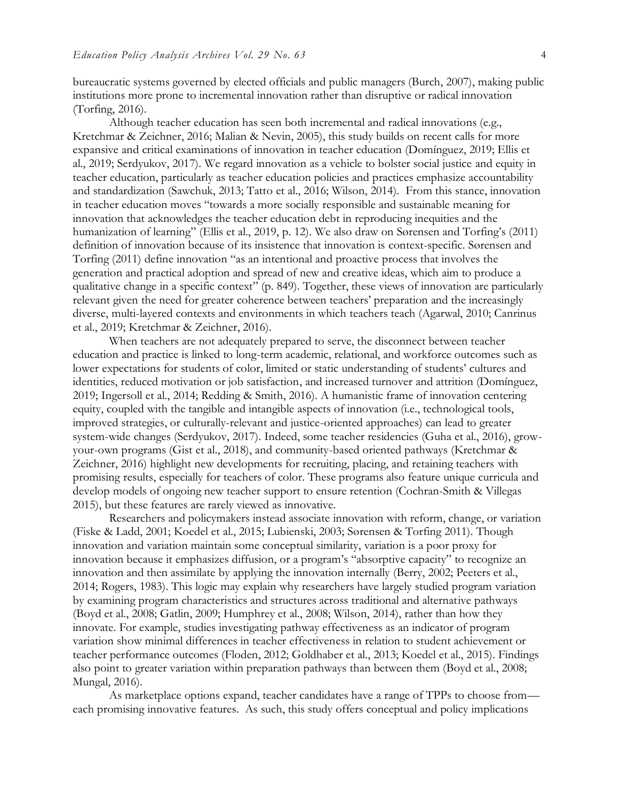bureaucratic systems governed by elected officials and public managers (Burch, 2007), making public institutions more prone to incremental innovation rather than disruptive or radical innovation (Torfing, 2016).

Although teacher education has seen both incremental and radical innovations (e.g., Kretchmar & Zeichner, 2016; Malian & Nevin, 2005), this study builds on recent calls for more expansive and critical examinations of innovation in teacher education (Domínguez, 2019; Ellis et al., 2019; Serdyukov, 2017). We regard innovation as a vehicle to bolster social justice and equity in teacher education, particularly as teacher education policies and practices emphasize accountability and standardization (Sawchuk, 2013; Tatto et al., 2016; Wilson, 2014). From this stance, innovation in teacher education moves "towards a more socially responsible and sustainable meaning for innovation that acknowledges the teacher education debt in reproducing inequities and the humanization of learning" (Ellis et al., 2019, p. 12). We also draw on Sørensen and Torfing's (2011) definition of innovation because of its insistence that innovation is context-specific. Sørensen and Torfing (2011) define innovation "as an intentional and proactive process that involves the generation and practical adoption and spread of new and creative ideas, which aim to produce a qualitative change in a specific context" (p. 849). Together, these views of innovation are particularly relevant given the need for greater coherence between teachers' preparation and the increasingly diverse, multi-layered contexts and environments in which teachers teach (Agarwal, 2010; Canrinus et al., 2019; Kretchmar & Zeichner, 2016).

When teachers are not adequately prepared to serve, the disconnect between teacher education and practice is linked to long-term academic, relational, and workforce outcomes such as lower expectations for students of color, limited or static understanding of students' cultures and identities, reduced motivation or job satisfaction, and increased turnover and attrition (Domínguez, 2019; Ingersoll et al., 2014; Redding & Smith, 2016). A humanistic frame of innovation centering equity, coupled with the tangible and intangible aspects of innovation (i.e., technological tools, improved strategies, or culturally-relevant and justice-oriented approaches) can lead to greater system-wide changes (Serdyukov, 2017). Indeed, some teacher residencies (Guha et al., 2016), growyour-own programs (Gist et al., 2018), and community-based oriented pathways (Kretchmar & Zeichner, 2016) highlight new developments for recruiting, placing, and retaining teachers with promising results, especially for teachers of color. These programs also feature unique curricula and develop models of ongoing new teacher support to ensure retention (Cochran-Smith & Villegas 2015), but these features are rarely viewed as innovative.

Researchers and policymakers instead associate innovation with reform, change, or variation (Fiske & Ladd, 2001; Koedel et al., 2015; Lubienski, 2003; Sørensen & Torfing 2011). Though innovation and variation maintain some conceptual similarity, variation is a poor proxy for innovation because it emphasizes diffusion, or a program's "absorptive capacity" to recognize an innovation and then assimilate by applying the innovation internally (Berry, 2002; Peeters et al., 2014; Rogers, 1983). This logic may explain why researchers have largely studied program variation by examining program characteristics and structures across traditional and alternative pathways (Boyd et al., 2008; Gatlin, 2009; Humphrey et al., 2008; Wilson, 2014), rather than how they innovate. For example, studies investigating pathway effectiveness as an indicator of program variation show minimal differences in teacher effectiveness in relation to student achievement or teacher performance outcomes (Floden, 2012; Goldhaber et al., 2013; Koedel et al., 2015). Findings also point to greater variation within preparation pathways than between them (Boyd et al., 2008; Mungal, 2016).

As marketplace options expand, teacher candidates have a range of TPPs to choose from each promising innovative features. As such, this study offers conceptual and policy implications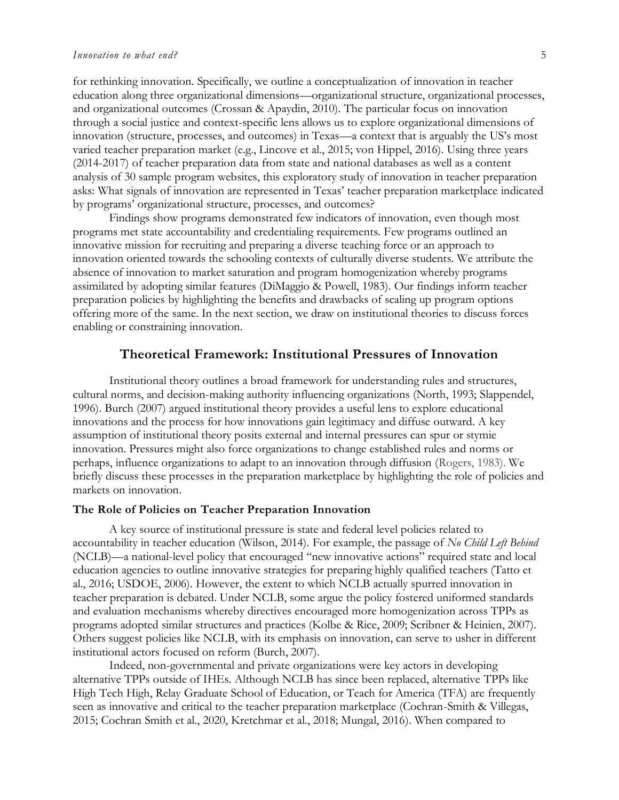for rethinking innovation. Specifically, we outline a conceptualization of innovation in teacher education along three organizational dimensions—organizational structure, organizational processes, and organizational outcomes (Crossan & Apaydin, 2010). The particular focus on innovation through a social justice and context-specific lens allows us to explore organizational dimensions of innovation (structure, processes, and outcomes) in Texas—a context that is arguably the US's most varied teacher preparation market (e.g., Lincove et al., 2015; von Hippel, 2016). Using three years (2014-2017) of teacher preparation data from state and national databases as well as a content analysis of 30 sample program websites, this exploratory study of innovation in teacher preparation asks: What signals of innovation are represented in Texas' teacher preparation marketplace indicated by programs' organizational structure, processes, and outcomes?

Findings show programs demonstrated few indicators of innovation, even though most programs met state accountability and credentialing requirements. Few programs outlined an innovative mission for recruiting and preparing a diverse teaching force or an approach to innovation oriented towards the schooling contexts of culturally diverse students. We attribute the absence of innovation to market saturation and program homogenization whereby programs assimilated by adopting similar features (DiMaggio & Powell, 1983). Our findings inform teacher preparation policies by highlighting the benefits and drawbacks of scaling up program options offering more of the same. In the next section, we draw on institutional theories to discuss forces enabling or constraining innovation.

### **Theoretical Framework: Institutional Pressures of Innovation**

Institutional theory outlines a broad framework for understanding rules and structures, cultural norms, and decision-making authority influencing organizations (North, 1993; Slappendel, 1996). Burch (2007) argued institutional theory provides a useful lens to explore educational innovations and the process for how innovations gain legitimacy and diffuse outward. A key assumption of institutional theory posits external and internal pressures can spur or stymie innovation. Pressures might also force organizations to change established rules and norms or perhaps, influence organizations to adapt to an innovation through diffusion (Rogers, 1983). We briefly discuss these processes in the preparation marketplace by highlighting the role of policies and markets on innovation.

#### **The Role of Policies on Teacher Preparation Innovation**

A key source of institutional pressure is state and federal level policies related to accountability in teacher education (Wilson, 2014). For example, the passage of *No Child Left Behind* (NCLB)—a national-level policy that encouraged "new innovative actions" required state and local education agencies to outline innovative strategies for preparing highly qualified teachers (Tatto et al., 2016; USDOE, 2006). However, the extent to which NCLB actually spurred innovation in teacher preparation is debated. Under NCLB, some argue the policy fostered uniformed standards and evaluation mechanisms whereby directives encouraged more homogenization across TPPs as programs adopted similar structures and practices (Kolbe & Rice, 2009; Scribner & Heinien, 2007). Others suggest policies like NCLB, with its emphasis on innovation, can serve to usher in different institutional actors focused on reform (Burch, 2007).

Indeed, non-governmental and private organizations were key actors in developing alternative TPPs outside of IHEs. Although NCLB has since been replaced, alternative TPPs like High Tech High, Relay Graduate School of Education, or Teach for America (TFA) are frequently seen as innovative and critical to the teacher preparation marketplace (Cochran-Smith & Villegas, 2015; Cochran Smith et al., 2020, Kretchmar et al., 2018; Mungal, 2016). When compared to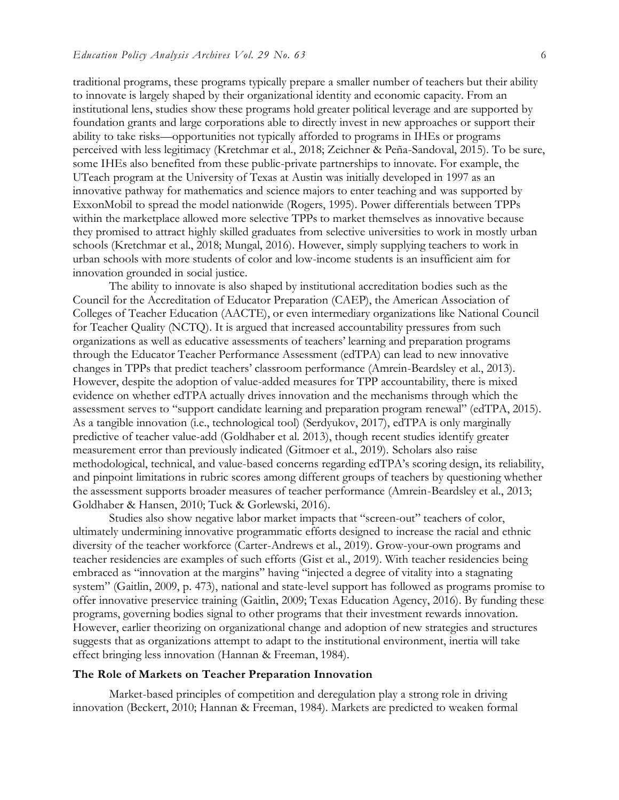traditional programs, these programs typically prepare a smaller number of teachers but their ability to innovate is largely shaped by their organizational identity and economic capacity. From an institutional lens, studies show these programs hold greater political leverage and are supported by foundation grants and large corporations able to directly invest in new approaches or support their ability to take risks—opportunities not typically afforded to programs in IHEs or programs perceived with less legitimacy (Kretchmar et al., 2018; Zeichner & Peña-Sandoval, 2015). To be sure, some IHEs also benefited from these public-private partnerships to innovate. For example, the UTeach program at the University of Texas at Austin was initially developed in 1997 as an innovative pathway for mathematics and science majors to enter teaching and was supported by ExxonMobil to spread the model nationwide (Rogers, 1995). Power differentials between TPPs within the marketplace allowed more selective TPPs to market themselves as innovative because they promised to attract highly skilled graduates from selective universities to work in mostly urban schools (Kretchmar et al., 2018; Mungal, 2016). However, simply supplying teachers to work in urban schools with more students of color and low-income students is an insufficient aim for innovation grounded in social justice.

The ability to innovate is also shaped by institutional accreditation bodies such as the Council for the Accreditation of Educator Preparation (CAEP), the American Association of Colleges of Teacher Education (AACTE), or even intermediary organizations like National Council for Teacher Quality (NCTQ). It is argued that increased accountability pressures from such organizations as well as educative assessments of teachers' learning and preparation programs through the Educator Teacher Performance Assessment (edTPA) can lead to new innovative changes in TPPs that predict teachers' classroom performance (Amrein-Beardsley et al., 2013). However, despite the adoption of value-added measures for TPP accountability, there is mixed evidence on whether edTPA actually drives innovation and the mechanisms through which the assessment serves to "support candidate learning and preparation program renewal" (edTPA, 2015). As a tangible innovation (i.e., technological tool) (Serdyukov, 2017), edTPA is only marginally predictive of teacher value-add (Goldhaber et al. 2013), though recent studies identify greater measurement error than previously indicated (Gitmoer et al., 2019). Scholars also raise methodological, technical, and value-based concerns regarding edTPA's scoring design, its reliability, and pinpoint limitations in rubric scores among different groups of teachers by questioning whether the assessment supports broader measures of teacher performance (Amrein-Beardsley et al., 2013; Goldhaber & Hansen, 2010; Tuck & Gorlewski, 2016).

Studies also show negative labor market impacts that "screen-out" teachers of color, ultimately undermining innovative programmatic efforts designed to increase the racial and ethnic diversity of the teacher workforce (Carter-Andrews et al., 2019). Grow-your-own programs and teacher residencies are examples of such efforts (Gist et al., 2019). With teacher residencies being embraced as "innovation at the margins" having "injected a degree of vitality into a stagnating system" (Gaitlin, 2009, p. 473), national and state-level support has followed as programs promise to offer innovative preservice training (Gaitlin, 2009; Texas Education Agency, 2016). By funding these programs, governing bodies signal to other programs that their investment rewards innovation. However, earlier theorizing on organizational change and adoption of new strategies and structures suggests that as organizations attempt to adapt to the institutional environment, inertia will take effect bringing less innovation (Hannan & Freeman, 1984).

### **The Role of Markets on Teacher Preparation Innovation**

Market-based principles of competition and deregulation play a strong role in driving innovation (Beckert, 2010; Hannan & Freeman, 1984). Markets are predicted to weaken formal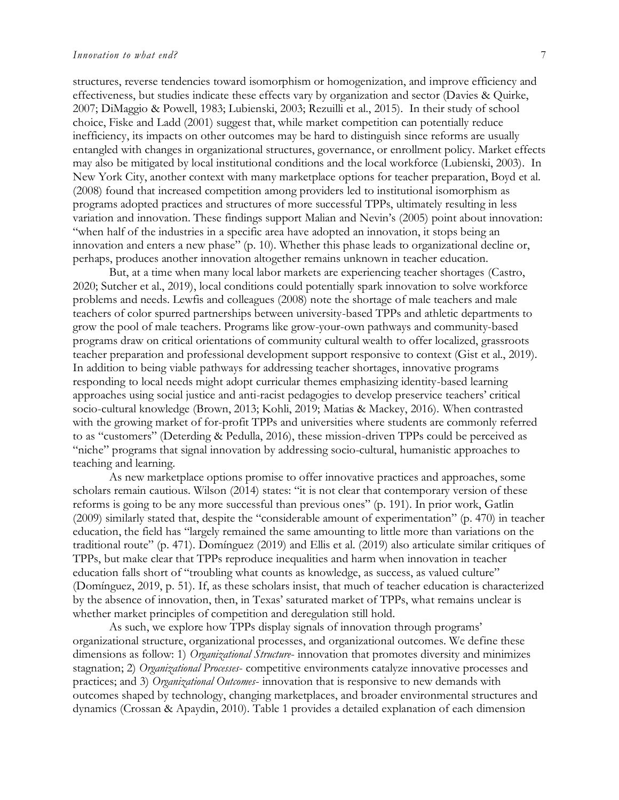structures, reverse tendencies toward isomorphism or homogenization, and improve efficiency and effectiveness, but studies indicate these effects vary by organization and sector (Davies & Quirke, 2007; DiMaggio & Powell, 1983; Lubienski, 2003; Rezuilli et al., 2015). In their study of school choice, Fiske and Ladd (2001) suggest that, while market competition can potentially reduce inefficiency, its impacts on other outcomes may be hard to distinguish since reforms are usually entangled with changes in organizational structures, governance, or enrollment policy. Market effects may also be mitigated by local institutional conditions and the local workforce (Lubienski, 2003). In New York City, another context with many marketplace options for teacher preparation, Boyd et al. (2008) found that increased competition among providers led to institutional isomorphism as programs adopted practices and structures of more successful TPPs, ultimately resulting in less variation and innovation. These findings support Malian and Nevin's (2005) point about innovation: "when half of the industries in a specific area have adopted an innovation, it stops being an innovation and enters a new phase" (p. 10). Whether this phase leads to organizational decline or, perhaps, produces another innovation altogether remains unknown in teacher education.

But, at a time when many local labor markets are experiencing teacher shortages (Castro, 2020; Sutcher et al., 2019), local conditions could potentially spark innovation to solve workforce problems and needs. Lewfis and colleagues (2008) note the shortage of male teachers and male teachers of color spurred partnerships between university-based TPPs and athletic departments to grow the pool of male teachers. Programs like grow-your-own pathways and community-based programs draw on critical orientations of community cultural wealth to offer localized, grassroots teacher preparation and professional development support responsive to context (Gist et al., 2019). In addition to being viable pathways for addressing teacher shortages, innovative programs responding to local needs might adopt curricular themes emphasizing identity-based learning approaches using social justice and anti-racist pedagogies to develop preservice teachers' critical socio-cultural knowledge (Brown, 2013; Kohli, 2019; Matias & Mackey, 2016). When contrasted with the growing market of for-profit TPPs and universities where students are commonly referred to as "customers" (Deterding & Pedulla, 2016), these mission-driven TPPs could be perceived as "niche" programs that signal innovation by addressing socio-cultural, humanistic approaches to teaching and learning.

As new marketplace options promise to offer innovative practices and approaches, some scholars remain cautious. Wilson (2014) states: "it is not clear that contemporary version of these reforms is going to be any more successful than previous ones" (p. 191). In prior work, Gatlin (2009) similarly stated that, despite the "considerable amount of experimentation" (p. 470) in teacher education, the field has "largely remained the same amounting to little more than variations on the traditional route" (p. 471). Domínguez (2019) and Ellis et al. (2019) also articulate similar critiques of TPPs, but make clear that TPPs reproduce inequalities and harm when innovation in teacher education falls short of "troubling what counts as knowledge, as success, as valued culture" (Domínguez, 2019, p. 51). If, as these scholars insist, that much of teacher education is characterized by the absence of innovation, then, in Texas' saturated market of TPPs, what remains unclear is whether market principles of competition and deregulation still hold.

As such, we explore how TPPs display signals of innovation through programs' organizational structure, organizational processes, and organizational outcomes. We define these dimensions as follow: 1) *Organizational Structure*- innovation that promotes diversity and minimizes stagnation; 2) *Organizational Processes*- competitive environments catalyze innovative processes and practices; and 3) *Organizational Outcomes*- innovation that is responsive to new demands with outcomes shaped by technology, changing marketplaces, and broader environmental structures and dynamics (Crossan & Apaydin, 2010). Table 1 provides a detailed explanation of each dimension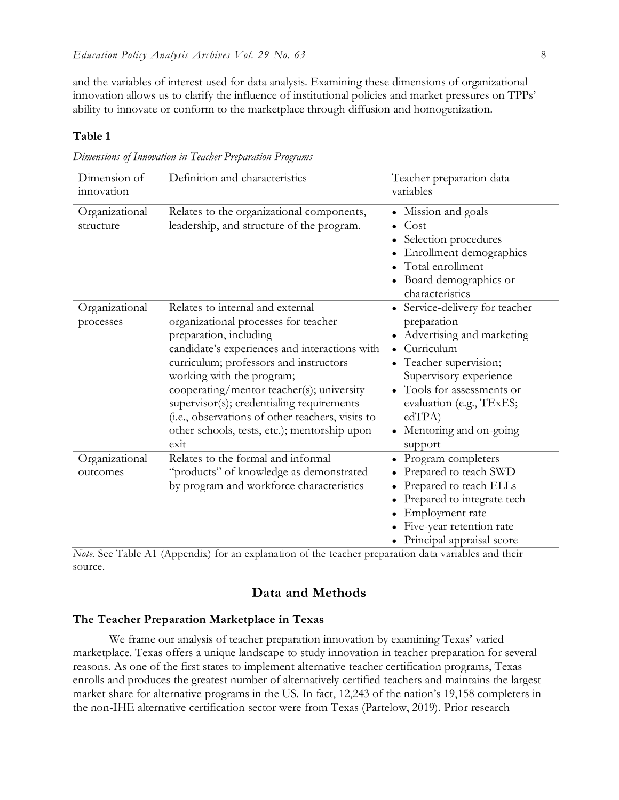and the variables of interest used for data analysis. Examining these dimensions of organizational innovation allows us to clarify the influence of institutional policies and market pressures on TPPs' ability to innovate or conform to the marketplace through diffusion and homogenization.

### **Table 1**

*Dimensions of Innovation in Teacher Preparation Programs*

| Dimension of<br>innovation  | Definition and characteristics                                                                                                                                                                                                                                                                                                                                                                                                   | Teacher preparation data<br>variables                                                                                                                                                                                                                              |
|-----------------------------|----------------------------------------------------------------------------------------------------------------------------------------------------------------------------------------------------------------------------------------------------------------------------------------------------------------------------------------------------------------------------------------------------------------------------------|--------------------------------------------------------------------------------------------------------------------------------------------------------------------------------------------------------------------------------------------------------------------|
| Organizational<br>structure | Relates to the organizational components,<br>leadership, and structure of the program.                                                                                                                                                                                                                                                                                                                                           | Mission and goals<br>Cost<br>Selection procedures<br>Enrollment demographics<br>Total enrollment<br>• Board demographics or<br>characteristics                                                                                                                     |
| Organizational<br>processes | Relates to internal and external<br>organizational processes for teacher<br>preparation, including<br>candidate's experiences and interactions with<br>curriculum; professors and instructors<br>working with the program;<br>cooperating/mentor teacher(s); university<br>supervisor(s); credentialing requirements<br>(i.e., observations of other teachers, visits to<br>other schools, tests, etc.); mentorship upon<br>exit | • Service-delivery for teacher<br>preparation<br>Advertising and marketing<br>Curriculum<br>$\bullet$<br>Teacher supervision;<br>Supervisory experience<br>• Tools for assessments or<br>evaluation (e.g., TExES;<br>edTPA)<br>• Mentoring and on-going<br>support |
| Organizational<br>outcomes  | Relates to the formal and informal<br>"products" of knowledge as demonstrated<br>by program and workforce characteristics                                                                                                                                                                                                                                                                                                        | Program completers<br>Prepared to teach SWD<br>Prepared to teach ELLs<br>Prepared to integrate tech<br>Employment rate<br>Five-year retention rate<br>Principal appraisal score                                                                                    |

*Note.* See Table A1 (Appendix) for an explanation of the teacher preparation data variables and their source.

### **Data and Methods**

### **The Teacher Preparation Marketplace in Texas**

We frame our analysis of teacher preparation innovation by examining Texas' varied marketplace. Texas offers a unique landscape to study innovation in teacher preparation for several reasons. As one of the first states to implement alternative teacher certification programs, Texas enrolls and produces the greatest number of alternatively certified teachers and maintains the largest market share for alternative programs in the US. In fact, 12,243 of the nation's 19,158 completers in the non-IHE alternative certification sector were from Texas (Partelow, 2019). Prior research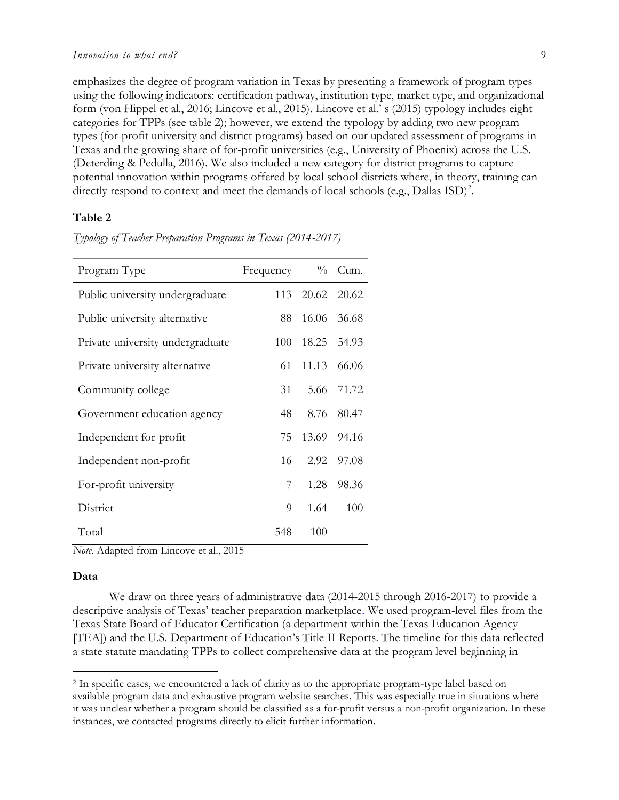emphasizes the degree of program variation in Texas by presenting a framework of program types using the following indicators: certification pathway, institution type, market type, and organizational form (von Hippel et al., 2016; Lincove et al., 2015). Lincove et al.' s (2015) typology includes eight categories for TPPs (see table 2); however, we extend the typology by adding two new program types (for-profit university and district programs) based on our updated assessment of programs in Texas and the growing share of for-profit universities (e.g., University of Phoenix) across the U.S. (Deterding & Pedulla, 2016). We also included a new category for district programs to capture potential innovation within programs offered by local school districts where, in theory, training can directly respond to context and meet the demands of local schools (e.g., Dallas  $\text{ISD}$ )<sup>2</sup>.

### **Table 2**

| Program Type                     | Frequency $\%$ Cum. |                 |            |
|----------------------------------|---------------------|-----------------|------------|
| Public university undergraduate  |                     | 113 20.62 20.62 |            |
| Public university alternative    | 88 -                | 16.06 36.68     |            |
| Private university undergraduate | 100                 | 18.25 54.93     |            |
| Private university alternative   | 61                  | 11.13 66.06     |            |
| Community college                | 31                  |                 | 5.66 71.72 |
| Government education agency      | 48                  | 8.76            | 80.47      |
| Independent for-profit           | 75                  | 13.69 94.16     |            |
| Independent non-profit           | 16                  | 2.92            | 97.08      |
| For-profit university            | 7                   | 1.28            | 98.36      |
| District                         | 9                   | 1.64            | 100        |
| Total                            | 548                 | 100             |            |

*Typology of Teacher Preparation Programs in Texas (2014-2017)*

*Note*. Adapted from Lincove et al., 2015

#### **Data**

 $\overline{a}$ 

We draw on three years of administrative data (2014-2015 through 2016-2017) to provide a descriptive analysis of Texas' teacher preparation marketplace. We used program-level files from the Texas State Board of Educator Certification (a department within the Texas Education Agency [TEA]) and the U.S. Department of Education's Title II Reports. The timeline for this data reflected a state statute mandating TPPs to collect comprehensive data at the program level beginning in

<sup>2</sup> In specific cases, we encountered a lack of clarity as to the appropriate program-type label based on available program data and exhaustive program website searches. This was especially true in situations where it was unclear whether a program should be classified as a for-profit versus a non-profit organization. In these instances, we contacted programs directly to elicit further information.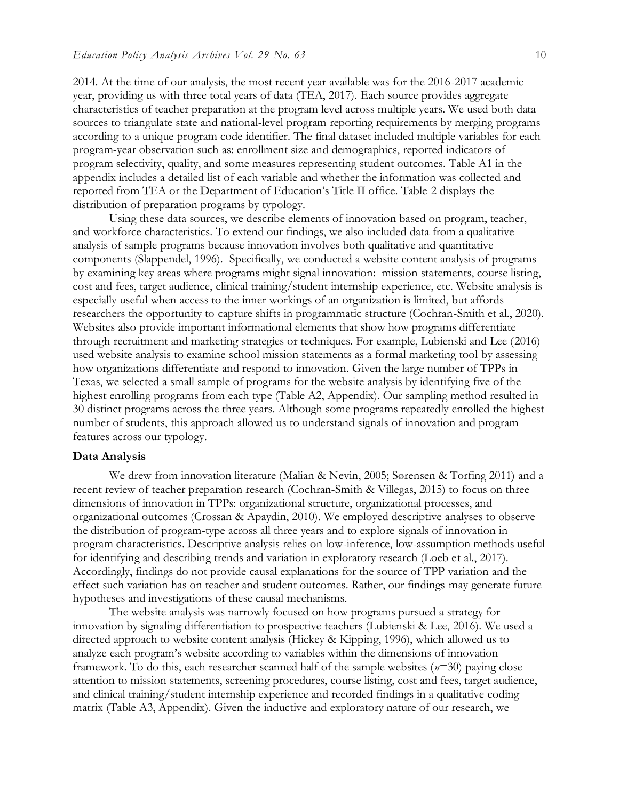2014. At the time of our analysis, the most recent year available was for the 2016-2017 academic year, providing us with three total years of data (TEA, 2017). Each source provides aggregate characteristics of teacher preparation at the program level across multiple years. We used both data sources to triangulate state and national-level program reporting requirements by merging programs according to a unique program code identifier. The final dataset included multiple variables for each program-year observation such as: enrollment size and demographics, reported indicators of program selectivity, quality, and some measures representing student outcomes. Table A1 in the appendix includes a detailed list of each variable and whether the information was collected and reported from TEA or the Department of Education's Title II office. Table 2 displays the distribution of preparation programs by typology.

Using these data sources, we describe elements of innovation based on program, teacher, and workforce characteristics. To extend our findings, we also included data from a qualitative analysis of sample programs because innovation involves both qualitative and quantitative components (Slappendel, 1996). Specifically, we conducted a website content analysis of programs by examining key areas where programs might signal innovation: mission statements, course listing, cost and fees, target audience, clinical training/student internship experience, etc. Website analysis is especially useful when access to the inner workings of an organization is limited, but affords researchers the opportunity to capture shifts in programmatic structure (Cochran-Smith et al., 2020). Websites also provide important informational elements that show how programs differentiate through recruitment and marketing strategies or techniques. For example, Lubienski and Lee (2016) used website analysis to examine school mission statements as a formal marketing tool by assessing how organizations differentiate and respond to innovation. Given the large number of TPPs in Texas, we selected a small sample of programs for the website analysis by identifying five of the highest enrolling programs from each type (Table A2, Appendix). Our sampling method resulted in 30 distinct programs across the three years. Although some programs repeatedly enrolled the highest number of students, this approach allowed us to understand signals of innovation and program features across our typology.

### **Data Analysis**

We drew from innovation literature (Malian & Nevin, 2005; Sørensen & Torfing 2011) and a recent review of teacher preparation research (Cochran-Smith & Villegas, 2015) to focus on three dimensions of innovation in TPPs: organizational structure, organizational processes, and organizational outcomes (Crossan & Apaydin, 2010). We employed descriptive analyses to observe the distribution of program-type across all three years and to explore signals of innovation in program characteristics. Descriptive analysis relies on low-inference, low-assumption methods useful for identifying and describing trends and variation in exploratory research (Loeb et al., 2017). Accordingly, findings do not provide causal explanations for the source of TPP variation and the effect such variation has on teacher and student outcomes. Rather, our findings may generate future hypotheses and investigations of these causal mechanisms.

The website analysis was narrowly focused on how programs pursued a strategy for innovation by signaling differentiation to prospective teachers (Lubienski & Lee, 2016). We used a directed approach to website content analysis (Hickey & Kipping, 1996), which allowed us to analyze each program's website according to variables within the dimensions of innovation framework. To do this, each researcher scanned half of the sample websites (*n*=30) paying close attention to mission statements, screening procedures, course listing, cost and fees, target audience, and clinical training/student internship experience and recorded findings in a qualitative coding matrix (Table A3, Appendix). Given the inductive and exploratory nature of our research, we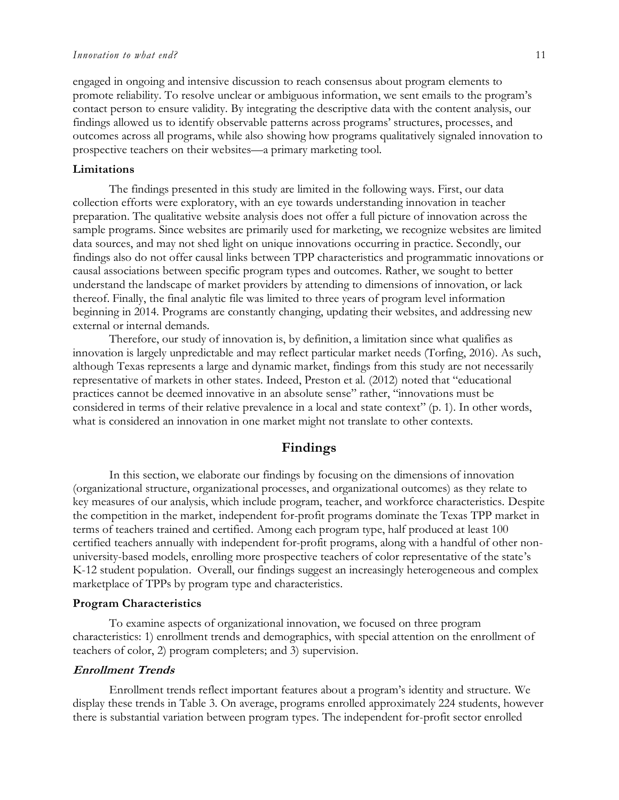#### *Innovation to what end?* 11

engaged in ongoing and intensive discussion to reach consensus about program elements to promote reliability. To resolve unclear or ambiguous information, we sent emails to the program's contact person to ensure validity. By integrating the descriptive data with the content analysis, our findings allowed us to identify observable patterns across programs' structures, processes, and outcomes across all programs, while also showing how programs qualitatively signaled innovation to prospective teachers on their websites—a primary marketing tool.

### **Limitations**

The findings presented in this study are limited in the following ways. First, our data collection efforts were exploratory, with an eye towards understanding innovation in teacher preparation. The qualitative website analysis does not offer a full picture of innovation across the sample programs. Since websites are primarily used for marketing, we recognize websites are limited data sources, and may not shed light on unique innovations occurring in practice. Secondly, our findings also do not offer causal links between TPP characteristics and programmatic innovations or causal associations between specific program types and outcomes. Rather, we sought to better understand the landscape of market providers by attending to dimensions of innovation, or lack thereof. Finally, the final analytic file was limited to three years of program level information beginning in 2014. Programs are constantly changing, updating their websites, and addressing new external or internal demands.

Therefore, our study of innovation is, by definition, a limitation since what qualifies as innovation is largely unpredictable and may reflect particular market needs (Torfing, 2016). As such, although Texas represents a large and dynamic market, findings from this study are not necessarily representative of markets in other states. Indeed, Preston et al. (2012) noted that "educational practices cannot be deemed innovative in an absolute sense" rather, "innovations must be considered in terms of their relative prevalence in a local and state context" (p. 1). In other words, what is considered an innovation in one market might not translate to other contexts.

### **Findings**

In this section, we elaborate our findings by focusing on the dimensions of innovation (organizational structure, organizational processes, and organizational outcomes) as they relate to key measures of our analysis, which include program, teacher, and workforce characteristics. Despite the competition in the market, independent for-profit programs dominate the Texas TPP market in terms of teachers trained and certified. Among each program type, half produced at least 100 certified teachers annually with independent for-profit programs, along with a handful of other nonuniversity-based models, enrolling more prospective teachers of color representative of the state's K-12 student population. Overall, our findings suggest an increasingly heterogeneous and complex marketplace of TPPs by program type and characteristics.

#### **Program Characteristics**

To examine aspects of organizational innovation, we focused on three program characteristics: 1) enrollment trends and demographics, with special attention on the enrollment of teachers of color, 2) program completers; and 3) supervision.

### **Enrollment Trends**

Enrollment trends reflect important features about a program's identity and structure. We display these trends in Table 3. On average, programs enrolled approximately 224 students, however there is substantial variation between program types. The independent for-profit sector enrolled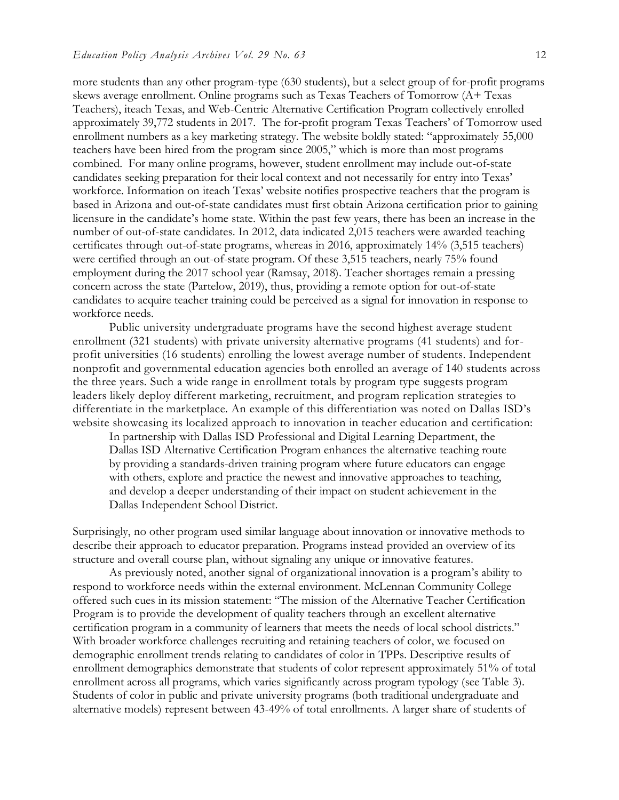more students than any other program-type (630 students), but a select group of for-profit programs skews average enrollment. Online programs such as Texas Teachers of Tomorrow (A+ Texas Teachers), iteach Texas, and Web-Centric Alternative Certification Program collectively enrolled approximately 39,772 students in 2017. The for-profit program Texas Teachers' of Tomorrow used enrollment numbers as a key marketing strategy. The website boldly stated: "approximately 55,000 teachers have been hired from the program since 2005," which is more than most programs combined. For many online programs, however, student enrollment may include out-of-state candidates seeking preparation for their local context and not necessarily for entry into Texas' workforce. Information on iteach Texas' website notifies prospective teachers that the program is based in Arizona and out-of-state candidates must first obtain Arizona certification prior to gaining licensure in the candidate's home state. Within the past few years, there has been an increase in the number of out-of-state candidates. In 2012, data indicated 2,015 teachers were awarded teaching certificates through out-of-state programs, whereas in 2016, approximately 14% (3,515 teachers) were certified through an out-of-state program. Of these 3,515 teachers, nearly 75% found employment during the 2017 school year (Ramsay, 2018). Teacher shortages remain a pressing concern across the state (Partelow, 2019), thus, providing a remote option for out-of-state candidates to acquire teacher training could be perceived as a signal for innovation in response to workforce needs.

Public university undergraduate programs have the second highest average student enrollment (321 students) with private university alternative programs (41 students) and forprofit universities (16 students) enrolling the lowest average number of students. Independent nonprofit and governmental education agencies both enrolled an average of 140 students across the three years. Such a wide range in enrollment totals by program type suggests program leaders likely deploy different marketing, recruitment, and program replication strategies to differentiate in the marketplace. An example of this differentiation was noted on Dallas ISD's website showcasing its localized approach to innovation in teacher education and certification:

In partnership with Dallas ISD Professional and Digital Learning Department, the Dallas ISD Alternative Certification Program enhances the alternative teaching route by providing a standards-driven training program where future educators can engage with others, explore and practice the newest and innovative approaches to teaching, and develop a deeper understanding of their impact on student achievement in the Dallas Independent School District.

Surprisingly, no other program used similar language about innovation or innovative methods to describe their approach to educator preparation. Programs instead provided an overview of its structure and overall course plan, without signaling any unique or innovative features.

As previously noted, another signal of organizational innovation is a program's ability to respond to workforce needs within the external environment. McLennan Community College offered such cues in its mission statement: "The mission of the Alternative Teacher Certification Program is to provide the development of quality teachers through an excellent alternative certification program in a community of learners that meets the needs of local school districts." With broader workforce challenges recruiting and retaining teachers of color, we focused on demographic enrollment trends relating to candidates of color in TPPs. Descriptive results of enrollment demographics demonstrate that students of color represent approximately 51% of total enrollment across all programs, which varies significantly across program typology (see Table 3). Students of color in public and private university programs (both traditional undergraduate and alternative models) represent between 43-49% of total enrollments. A larger share of students of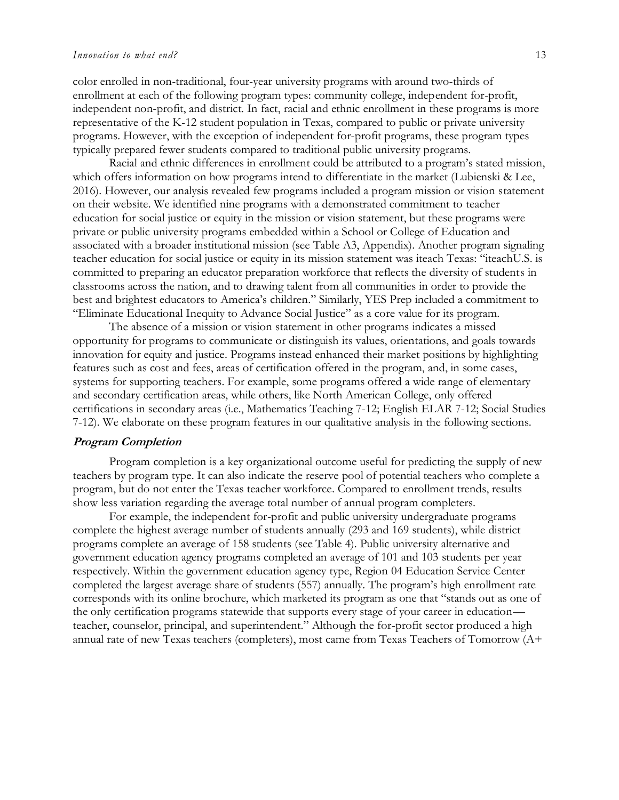color enrolled in non-traditional, four-year university programs with around two-thirds of enrollment at each of the following program types: community college, independent for-profit, independent non-profit, and district. In fact, racial and ethnic enrollment in these programs is more representative of the K-12 student population in Texas, compared to public or private university programs. However, with the exception of independent for-profit programs, these program types typically prepared fewer students compared to traditional public university programs.

Racial and ethnic differences in enrollment could be attributed to a program's stated mission, which offers information on how programs intend to differentiate in the market (Lubienski & Lee, 2016). However, our analysis revealed few programs included a program mission or vision statement on their website. We identified nine programs with a demonstrated commitment to teacher education for social justice or equity in the mission or vision statement, but these programs were private or public university programs embedded within a School or College of Education and associated with a broader institutional mission (see Table A3, Appendix). Another program signaling teacher education for social justice or equity in its mission statement was iteach Texas: "iteachU.S. is committed to preparing an educator preparation workforce that reflects the diversity of students in classrooms across the nation, and to drawing talent from all communities in order to provide the best and brightest educators to America's children." Similarly, YES Prep included a commitment to "Eliminate Educational Inequity to Advance Social Justice" as a core value for its program.

The absence of a mission or vision statement in other programs indicates a missed opportunity for programs to communicate or distinguish its values, orientations, and goals towards innovation for equity and justice. Programs instead enhanced their market positions by highlighting features such as cost and fees, areas of certification offered in the program, and, in some cases, systems for supporting teachers. For example, some programs offered a wide range of elementary and secondary certification areas, while others, like North American College, only offered certifications in secondary areas (i.e., Mathematics Teaching 7-12; English ELAR 7-12; Social Studies 7-12). We elaborate on these program features in our qualitative analysis in the following sections.

#### **Program Completion**

Program completion is a key organizational outcome useful for predicting the supply of new teachers by program type. It can also indicate the reserve pool of potential teachers who complete a program, but do not enter the Texas teacher workforce. Compared to enrollment trends, results show less variation regarding the average total number of annual program completers.

For example, the independent for-profit and public university undergraduate programs complete the highest average number of students annually (293 and 169 students), while district programs complete an average of 158 students (see Table 4). Public university alternative and government education agency programs completed an average of 101 and 103 students per year respectively. Within the government education agency type, Region 04 Education Service Center completed the largest average share of students (557) annually. The program's high enrollment rate corresponds with its online brochure, which marketed its program as one that "stands out as one of the only certification programs statewide that supports every stage of your career in education teacher, counselor, principal, and superintendent." Although the for-profit sector produced a high annual rate of new Texas teachers (completers), most came from Texas Teachers of Tomorrow (A+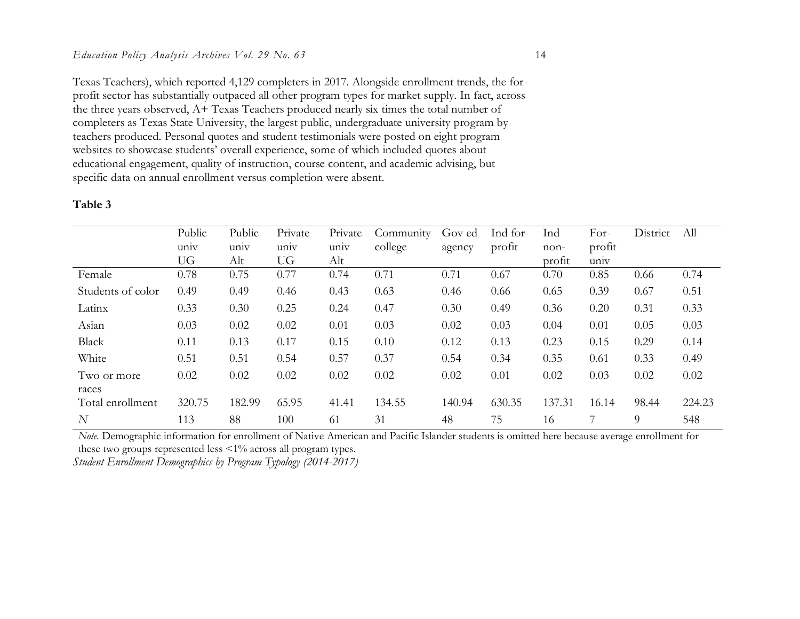Texas Teachers), which reported 4,129 completers in 2017. Alongside enrollment trends, the forprofit sector has substantially outpaced all other program types for market supply. In fact, across the three years observed, A+ Texas Teachers produced nearly six times the total number of completers as Texas State University, the largest public, undergraduate university program by teachers produced. Personal quotes and student testimonials were posted on eight program websites to showcase students' overall experience, some of which included quotes about educational engagement, quality of instruction, course content, and academic advising, but specific data on annual enrollment versus completion were absent.

### **Table 3**

|                   | Public    | Public | Private | Private | Community | Gov ed | Ind for- | Ind    | For-   | District | All    |
|-------------------|-----------|--------|---------|---------|-----------|--------|----------|--------|--------|----------|--------|
|                   | univ      | univ   | univ    | univ    | college   | agency | profit   | non-   | profit |          |        |
|                   | <b>UG</b> | Alt    | UG      | Alt     |           |        |          | profit | univ   |          |        |
| Female            | 0.78      | 0.75   | 0.77    | 0.74    | 0.71      | 0.71   | 0.67     | 0.70   | 0.85   | 0.66     | 0.74   |
| Students of color | 0.49      | 0.49   | 0.46    | 0.43    | 0.63      | 0.46   | 0.66     | 0.65   | 0.39   | 0.67     | 0.51   |
| Latinx            | 0.33      | 0.30   | 0.25    | 0.24    | 0.47      | 0.30   | 0.49     | 0.36   | 0.20   | 0.31     | 0.33   |
| Asian             | 0.03      | 0.02   | 0.02    | 0.01    | 0.03      | 0.02   | 0.03     | 0.04   | 0.01   | 0.05     | 0.03   |
| Black             | 0.11      | 0.13   | 0.17    | 0.15    | 0.10      | 0.12   | 0.13     | 0.23   | 0.15   | 0.29     | 0.14   |
| White             | 0.51      | 0.51   | 0.54    | 0.57    | 0.37      | 0.54   | 0.34     | 0.35   | 0.61   | 0.33     | 0.49   |
| Two or more       | 0.02      | 0.02   | 0.02    | 0.02    | 0.02      | 0.02   | 0.01     | 0.02   | 0.03   | 0.02     | 0.02   |
| races             |           |        |         |         |           |        |          |        |        |          |        |
| Total enrollment  | 320.75    | 182.99 | 65.95   | 41.41   | 134.55    | 140.94 | 630.35   | 137.31 | 16.14  | 98.44    | 224.23 |
| $\overline{N}$    | 113       | 88     | 100     | 61      | 31        | 48     | 75       | 16     |        | 9        | 548    |

*Student Enrollment Demographics by Program Typology (2014-2017) Note.* Demographic information for enrollment of Native American and Pacific Islander students is omitted here because average enrollment for these two groups represented less <1% across all program types.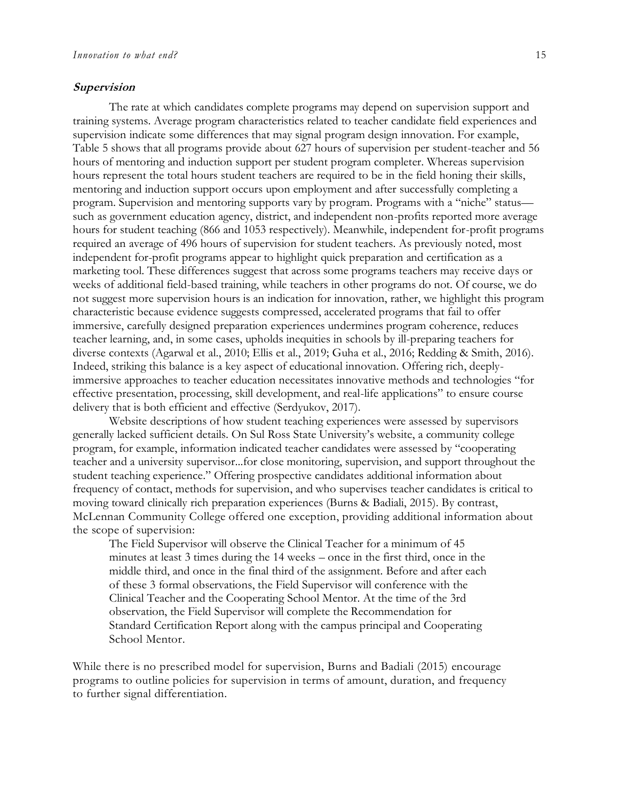#### **Supervision**

The rate at which candidates complete programs may depend on supervision support and training systems. Average program characteristics related to teacher candidate field experiences and supervision indicate some differences that may signal program design innovation. For example, Table 5 shows that all programs provide about 627 hours of supervision per student-teacher and 56 hours of mentoring and induction support per student program completer. Whereas supervision hours represent the total hours student teachers are required to be in the field honing their skills, mentoring and induction support occurs upon employment and after successfully completing a program. Supervision and mentoring supports vary by program. Programs with a "niche" status such as government education agency, district, and independent non-profits reported more average hours for student teaching (866 and 1053 respectively). Meanwhile, independent for-profit programs required an average of 496 hours of supervision for student teachers. As previously noted, most independent for-profit programs appear to highlight quick preparation and certification as a marketing tool. These differences suggest that across some programs teachers may receive days or weeks of additional field-based training, while teachers in other programs do not. Of course, we do not suggest more supervision hours is an indication for innovation, rather, we highlight this program characteristic because evidence suggests compressed, accelerated programs that fail to offer immersive, carefully designed preparation experiences undermines program coherence, reduces teacher learning, and, in some cases, upholds inequities in schools by ill-preparing teachers for diverse contexts (Agarwal et al., 2010; Ellis et al., 2019; Guha et al., 2016; Redding & Smith, 2016). Indeed, striking this balance is a key aspect of educational innovation. Offering rich, deeplyimmersive approaches to teacher education necessitates innovative methods and technologies "for effective presentation, processing, skill development, and real-life applications" to ensure course delivery that is both efficient and effective (Serdyukov, 2017).

Website descriptions of how student teaching experiences were assessed by supervisors generally lacked sufficient details. On Sul Ross State University's website, a community college program, for example, information indicated teacher candidates were assessed by "cooperating teacher and a university supervisor...for close monitoring, supervision, and support throughout the student teaching experience." Offering prospective candidates additional information about frequency of contact, methods for supervision, and who supervises teacher candidates is critical to moving toward clinically rich preparation experiences (Burns & Badiali, 2015). By contrast, McLennan Community College offered one exception, providing additional information about the scope of supervision:

The Field Supervisor will observe the Clinical Teacher for a minimum of 45 minutes at least 3 times during the 14 weeks – once in the first third, once in the middle third, and once in the final third of the assignment. Before and after each of these 3 formal observations, the Field Supervisor will conference with the Clinical Teacher and the Cooperating School Mentor. At the time of the 3rd observation, the Field Supervisor will complete the Recommendation for Standard Certification Report along with the campus principal and Cooperating School Mentor.

While there is no prescribed model for supervision, Burns and Badiali (2015) encourage programs to outline policies for supervision in terms of amount, duration, and frequency to further signal differentiation.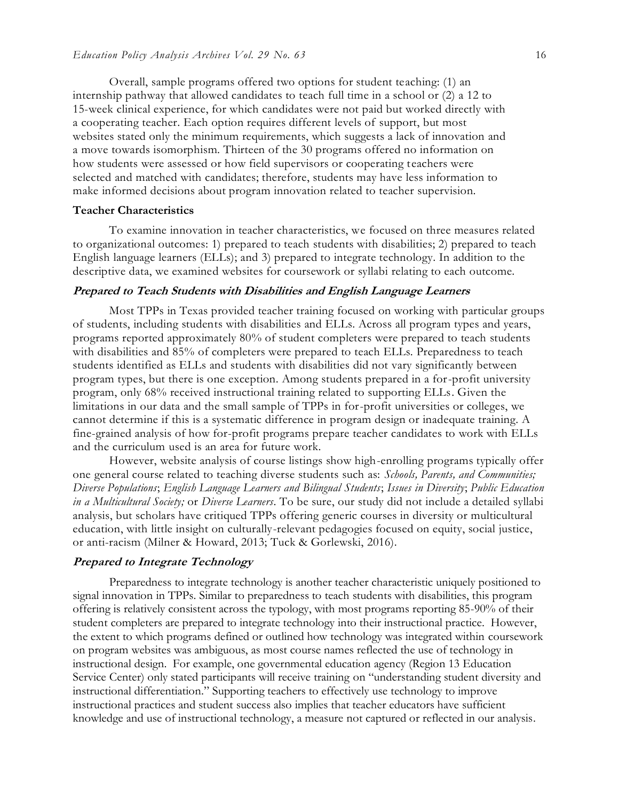Overall, sample programs offered two options for student teaching: (1) an internship pathway that allowed candidates to teach full time in a school or (2) a 12 to 15-week clinical experience, for which candidates were not paid but worked directly with a cooperating teacher. Each option requires different levels of support, but most websites stated only the minimum requirements, which suggests a lack of innovation and a move towards isomorphism. Thirteen of the 30 programs offered no information on how students were assessed or how field supervisors or cooperating teachers were selected and matched with candidates; therefore, students may have less information to make informed decisions about program innovation related to teacher supervision.

### **Teacher Characteristics**

To examine innovation in teacher characteristics, we focused on three measures related to organizational outcomes: 1) prepared to teach students with disabilities; 2) prepared to teach English language learners (ELLs); and 3) prepared to integrate technology. In addition to the descriptive data, we examined websites for coursework or syllabi relating to each outcome.

### **Prepared to Teach Students with Disabilities and English Language Learners**

Most TPPs in Texas provided teacher training focused on working with particular groups of students, including students with disabilities and ELLs. Across all program types and years, programs reported approximately 80% of student completers were prepared to teach students with disabilities and 85% of completers were prepared to teach ELLs. Preparedness to teach students identified as ELLs and students with disabilities did not vary significantly between program types, but there is one exception. Among students prepared in a for-profit university program, only 68% received instructional training related to supporting ELLs. Given the limitations in our data and the small sample of TPPs in for-profit universities or colleges, we cannot determine if this is a systematic difference in program design or inadequate training. A fine-grained analysis of how for-profit programs prepare teacher candidates to work with ELLs and the curriculum used is an area for future work.

However, website analysis of course listings show high-enrolling programs typically offer one general course related to teaching diverse students such as: *Schools, Parents, and Communities; Diverse Populations*; *English Language Learners and Bilingual Students*; *Issues in Diversity*; *Public Education in a Multicultural Society;* or *Diverse Learners*. To be sure, our study did not include a detailed syllabi analysis, but scholars have critiqued TPPs offering generic courses in diversity or multicultural education, with little insight on culturally-relevant pedagogies focused on equity, social justice, or anti-racism (Milner & Howard, 2013; Tuck & Gorlewski, 2016).

### **Prepared to Integrate Technology**

Preparedness to integrate technology is another teacher characteristic uniquely positioned to signal innovation in TPPs. Similar to preparedness to teach students with disabilities, this program offering is relatively consistent across the typology, with most programs reporting 85-90% of their student completers are prepared to integrate technology into their instructional practice. However, the extent to which programs defined or outlined how technology was integrated within coursework on program websites was ambiguous, as most course names reflected the use of technology in instructional design. For example, one governmental education agency (Region 13 Education Service Center) only stated participants will receive training on "understanding student diversity and instructional differentiation." Supporting teachers to effectively use technology to improve instructional practices and student success also implies that teacher educators have sufficient knowledge and use of instructional technology, a measure not captured or reflected in our analysis.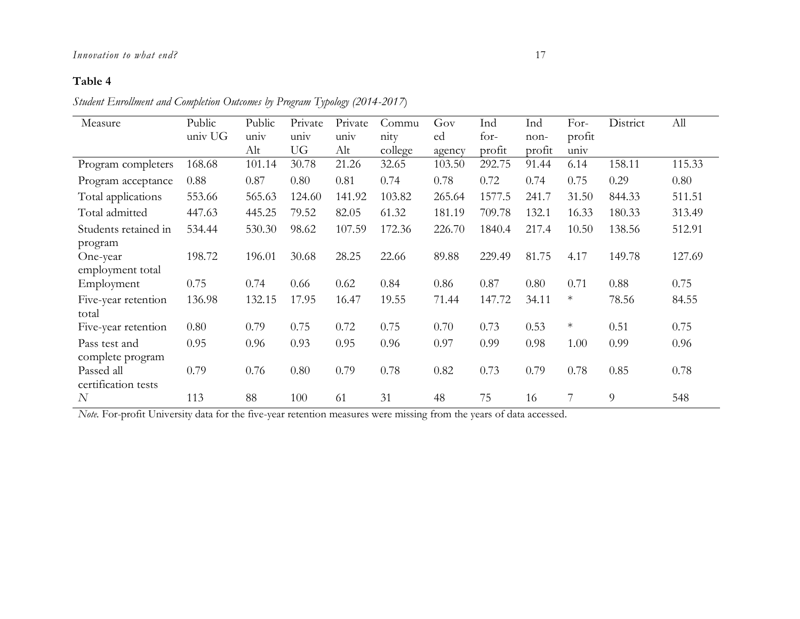### *Innovation to what end?* 17

### **Table 4**

*Student Enrollment and Completion Outcomes by Program Typology (2014-2017*)

| Measure              | Public  | Public | Private | Private | Commu   | Gov    | Ind    | Ind    | For-   | District | All    |
|----------------------|---------|--------|---------|---------|---------|--------|--------|--------|--------|----------|--------|
|                      | univ UG | univ   | univ    | univ    | nity    | ed     | for-   | non-   | profit |          |        |
|                      |         | Alt    | UG      | Alt     | college | agency | profit | profit | univ   |          |        |
| Program completers   | 168.68  | 101.14 | 30.78   | 21.26   | 32.65   | 103.50 | 292.75 | 91.44  | 6.14   | 158.11   | 115.33 |
| Program acceptance   | 0.88    | 0.87   | 0.80    | 0.81    | 0.74    | 0.78   | 0.72   | 0.74   | 0.75   | 0.29     | 0.80   |
| Total applications   | 553.66  | 565.63 | 124.60  | 141.92  | 103.82  | 265.64 | 1577.5 | 241.7  | 31.50  | 844.33   | 511.51 |
| Total admitted       | 447.63  | 445.25 | 79.52   | 82.05   | 61.32   | 181.19 | 709.78 | 132.1  | 16.33  | 180.33   | 313.49 |
| Students retained in | 534.44  | 530.30 | 98.62   | 107.59  | 172.36  | 226.70 | 1840.4 | 217.4  | 10.50  | 138.56   | 512.91 |
| program              |         |        |         |         |         |        |        |        |        |          |        |
| One-year             | 198.72  | 196.01 | 30.68   | 28.25   | 22.66   | 89.88  | 229.49 | 81.75  | 4.17   | 149.78   | 127.69 |
| employment total     |         |        |         |         |         |        |        |        |        |          |        |
| Employment           | 0.75    | 0.74   | 0.66    | 0.62    | 0.84    | 0.86   | 0.87   | 0.80   | 0.71   | 0.88     | 0.75   |
| Five-year retention  | 136.98  | 132.15 | 17.95   | 16.47   | 19.55   | 71.44  | 147.72 | 34.11  | $\ast$ | 78.56    | 84.55  |
| total                |         |        |         |         |         |        |        |        |        |          |        |
| Five-year retention  | 0.80    | 0.79   | 0.75    | 0.72    | 0.75    | 0.70   | 0.73   | 0.53   | $\ast$ | 0.51     | 0.75   |
| Pass test and        | 0.95    | 0.96   | 0.93    | 0.95    | 0.96    | 0.97   | 0.99   | 0.98   | 1.00   | 0.99     | 0.96   |
| complete program     |         |        |         |         |         |        |        |        |        |          |        |
| Passed all           | 0.79    | 0.76   | 0.80    | 0.79    | 0.78    | 0.82   | 0.73   | 0.79   | 0.78   | 0.85     | 0.78   |
| certification tests  |         |        |         |         |         |        |        |        |        |          |        |
| $\overline{N}$       | 113     | 88     | 100     | 61      | 31      | 48     | 75     | 16     | 7      | 9        | 548    |

*Note.* For-profit University data for the five-year retention measures were missing from the years of data accessed.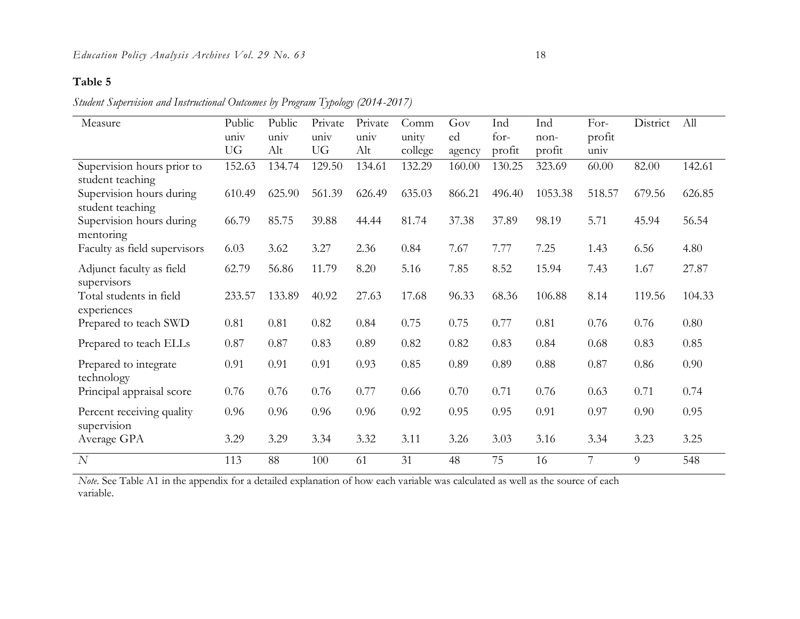### **Table 5**

*Student Supervision and Instructional Outcomes by Program Typology (2014-2017)*

| Measure                                        | Public    | Public | Private   | Private | Comm    | Gov    | Ind    | Ind     | For-   | District | All    |
|------------------------------------------------|-----------|--------|-----------|---------|---------|--------|--------|---------|--------|----------|--------|
|                                                | univ      | univ   | univ      | univ    | unity   | ed     | $for-$ | $non-$  | profit |          |        |
|                                                | <b>UG</b> | Alt    | <b>UG</b> | Alt     | college | agency | profit | profit  | univ   |          |        |
| Supervision hours prior to<br>student teaching | 152.63    | 134.74 | 129.50    | 134.61  | 132.29  | 160.00 | 130.25 | 323.69  | 60.00  | 82.00    | 142.61 |
| Supervision hours during<br>student teaching   | 610.49    | 625.90 | 561.39    | 626.49  | 635.03  | 866.21 | 496.40 | 1053.38 | 518.57 | 679.56   | 626.85 |
| Supervision hours during<br>mentoring          | 66.79     | 85.75  | 39.88     | 44.44   | 81.74   | 37.38  | 37.89  | 98.19   | 5.71   | 45.94    | 56.54  |
| Faculty as field supervisors                   | 6.03      | 3.62   | 3.27      | 2.36    | 0.84    | 7.67   | 7.77   | 7.25    | 1.43   | 6.56     | 4.80   |
| Adjunct faculty as field<br>supervisors        | 62.79     | 56.86  | 11.79     | 8.20    | 5.16    | 7.85   | 8.52   | 15.94   | 7.43   | 1.67     | 27.87  |
| Total students in field<br>experiences         | 233.57    | 133.89 | 40.92     | 27.63   | 17.68   | 96.33  | 68.36  | 106.88  | 8.14   | 119.56   | 104.33 |
| Prepared to teach SWD                          | 0.81      | 0.81   | 0.82      | 0.84    | 0.75    | 0.75   | 0.77   | 0.81    | 0.76   | 0.76     | 0.80   |
| Prepared to teach ELLs                         | 0.87      | 0.87   | 0.83      | 0.89    | 0.82    | 0.82   | 0.83   | 0.84    | 0.68   | 0.83     | 0.85   |
| Prepared to integrate<br>technology            | 0.91      | 0.91   | 0.91      | 0.93    | 0.85    | 0.89   | 0.89   | 0.88    | 0.87   | 0.86     | 0.90   |
| Principal appraisal score                      | 0.76      | 0.76   | 0.76      | 0.77    | 0.66    | 0.70   | 0.71   | 0.76    | 0.63   | 0.71     | 0.74   |
| Percent receiving quality<br>supervision       | 0.96      | 0.96   | 0.96      | 0.96    | 0.92    | 0.95   | 0.95   | 0.91    | 0.97   | 0.90     | 0.95   |
| Average GPA                                    | 3.29      | 3.29   | 3.34      | 3.32    | 3.11    | 3.26   | 3.03   | 3.16    | 3.34   | 3.23     | 3.25   |
| N                                              | 113       | 88     | 100       | 61      | 31      | 48     | 75     | 16      | 7      | 9        | 548    |

*Note*. See Table A1 in the appendix for a detailed explanation of how each variable was calculated as well as the source of each variable.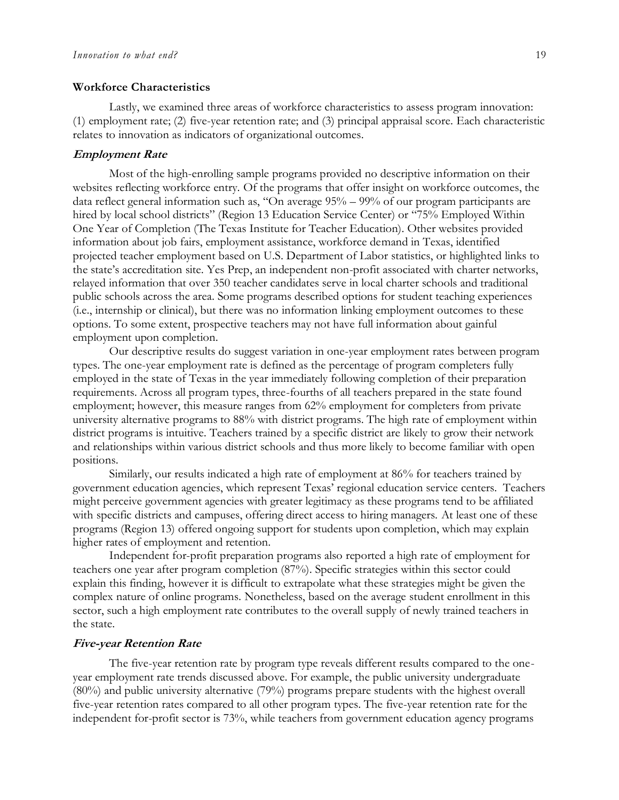#### **Workforce Characteristics**

Lastly, we examined three areas of workforce characteristics to assess program innovation: (1) employment rate; (2) five-year retention rate; and (3) principal appraisal score. Each characteristic relates to innovation as indicators of organizational outcomes.

#### **Employment Rate**

Most of the high-enrolling sample programs provided no descriptive information on their websites reflecting workforce entry. Of the programs that offer insight on workforce outcomes, the data reflect general information such as, "On average 95% – 99% of our program participants are hired by local school districts" (Region 13 Education Service Center) or "75% Employed Within One Year of Completion (The Texas Institute for Teacher Education). Other websites provided information about job fairs, employment assistance, workforce demand in Texas, identified projected teacher employment based on U.S. Department of Labor statistics, or highlighted links to the state's accreditation site. Yes Prep, an independent non-profit associated with charter networks, relayed information that over 350 teacher candidates serve in local charter schools and traditional public schools across the area. Some programs described options for student teaching experiences (i.e., internship or clinical), but there was no information linking employment outcomes to these options. To some extent, prospective teachers may not have full information about gainful employment upon completion.

Our descriptive results do suggest variation in one-year employment rates between program types. The one-year employment rate is defined as the percentage of program completers fully employed in the state of Texas in the year immediately following completion of their preparation requirements. Across all program types, three-fourths of all teachers prepared in the state found employment; however, this measure ranges from 62% employment for completers from private university alternative programs to 88% with district programs. The high rate of employment within district programs is intuitive. Teachers trained by a specific district are likely to grow their network and relationships within various district schools and thus more likely to become familiar with open positions.

Similarly, our results indicated a high rate of employment at 86% for teachers trained by government education agencies, which represent Texas' regional education service centers. Teachers might perceive government agencies with greater legitimacy as these programs tend to be affiliated with specific districts and campuses, offering direct access to hiring managers. At least one of these programs (Region 13) offered ongoing support for students upon completion, which may explain higher rates of employment and retention.

Independent for-profit preparation programs also reported a high rate of employment for teachers one year after program completion (87%). Specific strategies within this sector could explain this finding, however it is difficult to extrapolate what these strategies might be given the complex nature of online programs. Nonetheless, based on the average student enrollment in this sector, such a high employment rate contributes to the overall supply of newly trained teachers in the state.

### **Five-year Retention Rate**

The five-year retention rate by program type reveals different results compared to the oneyear employment rate trends discussed above. For example, the public university undergraduate (80%) and public university alternative (79%) programs prepare students with the highest overall five-year retention rates compared to all other program types. The five-year retention rate for the independent for-profit sector is 73%, while teachers from government education agency programs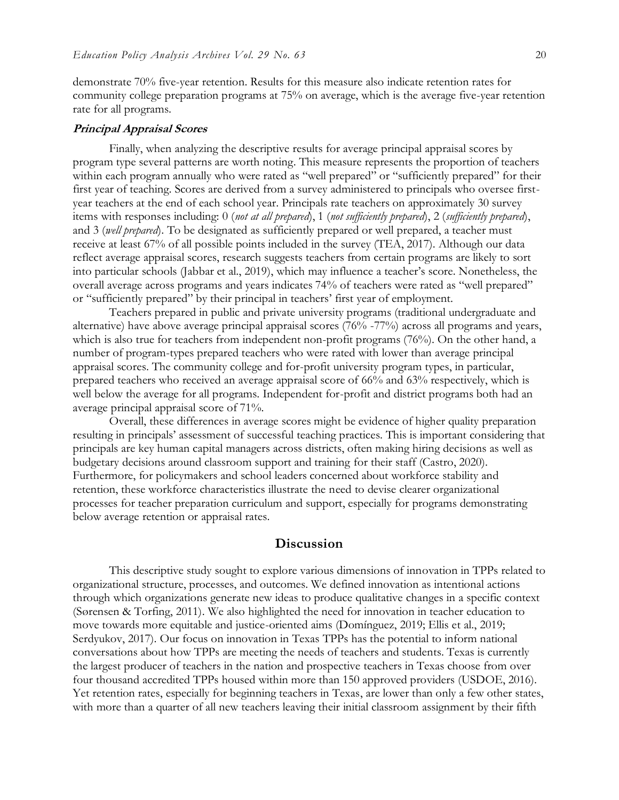demonstrate 70% five-year retention. Results for this measure also indicate retention rates for community college preparation programs at 75% on average, which is the average five-year retention rate for all programs.

### **Principal Appraisal Scores**

Finally, when analyzing the descriptive results for average principal appraisal scores by program type several patterns are worth noting. This measure represents the proportion of teachers within each program annually who were rated as "well prepared" or "sufficiently prepared" for their first year of teaching. Scores are derived from a survey administered to principals who oversee firstyear teachers at the end of each school year. Principals rate teachers on approximately 30 survey items with responses including: 0 (*not at all prepared*), 1 (*not sufficiently prepared*), 2 (*sufficiently prepared*), and 3 (*well prepared*). To be designated as sufficiently prepared or well prepared, a teacher must receive at least 67% of all possible points included in the survey (TEA, 2017). Although our data reflect average appraisal scores, research suggests teachers from certain programs are likely to sort into particular schools (Jabbar et al., 2019), which may influence a teacher's score. Nonetheless, the overall average across programs and years indicates 74% of teachers were rated as "well prepared" or "sufficiently prepared" by their principal in teachers' first year of employment.

Teachers prepared in public and private university programs (traditional undergraduate and alternative) have above average principal appraisal scores (76% -77%) across all programs and years, which is also true for teachers from independent non-profit programs (76%). On the other hand, a number of program-types prepared teachers who were rated with lower than average principal appraisal scores. The community college and for-profit university program types, in particular, prepared teachers who received an average appraisal score of 66% and 63% respectively, which is well below the average for all programs. Independent for-profit and district programs both had an average principal appraisal score of 71%.

Overall, these differences in average scores might be evidence of higher quality preparation resulting in principals' assessment of successful teaching practices. This is important considering that principals are key human capital managers across districts, often making hiring decisions as well as budgetary decisions around classroom support and training for their staff (Castro, 2020). Furthermore, for policymakers and school leaders concerned about workforce stability and retention, these workforce characteristics illustrate the need to devise clearer organizational processes for teacher preparation curriculum and support, especially for programs demonstrating below average retention or appraisal rates.

### **Discussion**

This descriptive study sought to explore various dimensions of innovation in TPPs related to organizational structure, processes, and outcomes. We defined innovation as intentional actions through which organizations generate new ideas to produce qualitative changes in a specific context (Sørensen & Torfing, 2011). We also highlighted the need for innovation in teacher education to move towards more equitable and justice-oriented aims (Domínguez, 2019; Ellis et al., 2019; Serdyukov, 2017). Our focus on innovation in Texas TPPs has the potential to inform national conversations about how TPPs are meeting the needs of teachers and students. Texas is currently the largest producer of teachers in the nation and prospective teachers in Texas choose from over four thousand accredited TPPs housed within more than 150 approved providers (USDOE, 2016). Yet retention rates, especially for beginning teachers in Texas, are lower than only a few other states, with more than a quarter of all new teachers leaving their initial classroom assignment by their fifth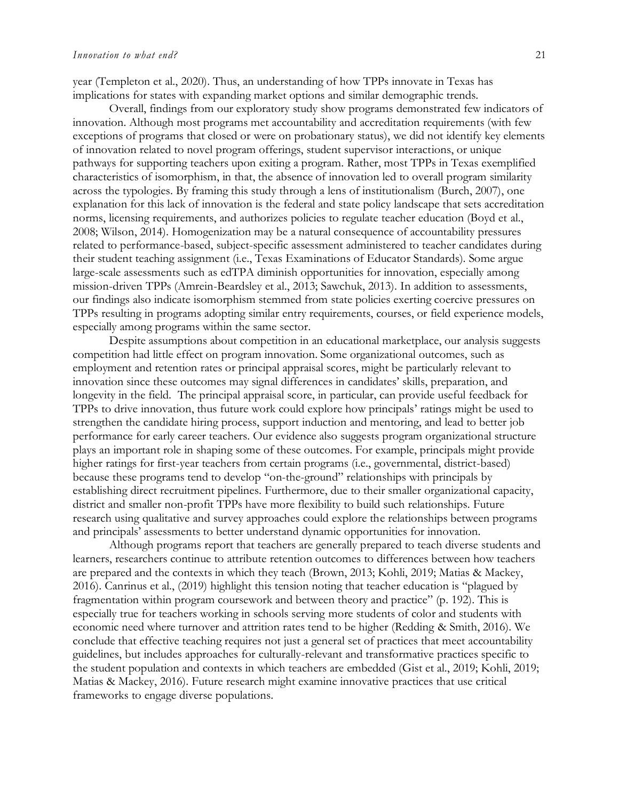year (Templeton et al., 2020). Thus, an understanding of how TPPs innovate in Texas has implications for states with expanding market options and similar demographic trends.

Overall, findings from our exploratory study show programs demonstrated few indicators of innovation. Although most programs met accountability and accreditation requirements (with few exceptions of programs that closed or were on probationary status), we did not identify key elements of innovation related to novel program offerings, student supervisor interactions, or unique pathways for supporting teachers upon exiting a program. Rather, most TPPs in Texas exemplified characteristics of isomorphism, in that, the absence of innovation led to overall program similarity across the typologies. By framing this study through a lens of institutionalism (Burch, 2007), one explanation for this lack of innovation is the federal and state policy landscape that sets accreditation norms, licensing requirements, and authorizes policies to regulate teacher education (Boyd et al., 2008; Wilson, 2014). Homogenization may be a natural consequence of accountability pressures related to performance-based, subject-specific assessment administered to teacher candidates during their student teaching assignment (i.e., Texas Examinations of Educator Standards). Some argue large-scale assessments such as edTPA diminish opportunities for innovation, especially among mission-driven TPPs (Amrein-Beardsley et al., 2013; Sawchuk, 2013). In addition to assessments, our findings also indicate isomorphism stemmed from state policies exerting coercive pressures on TPPs resulting in programs adopting similar entry requirements, courses, or field experience models, especially among programs within the same sector.

Despite assumptions about competition in an educational marketplace, our analysis suggests competition had little effect on program innovation. Some organizational outcomes, such as employment and retention rates or principal appraisal scores, might be particularly relevant to innovation since these outcomes may signal differences in candidates' skills, preparation, and longevity in the field. The principal appraisal score, in particular, can provide useful feedback for TPPs to drive innovation, thus future work could explore how principals' ratings might be used to strengthen the candidate hiring process, support induction and mentoring, and lead to better job performance for early career teachers. Our evidence also suggests program organizational structure plays an important role in shaping some of these outcomes. For example, principals might provide higher ratings for first-year teachers from certain programs (i.e., governmental, district-based) because these programs tend to develop "on-the-ground" relationships with principals by establishing direct recruitment pipelines. Furthermore, due to their smaller organizational capacity, district and smaller non-profit TPPs have more flexibility to build such relationships. Future research using qualitative and survey approaches could explore the relationships between programs and principals' assessments to better understand dynamic opportunities for innovation.

Although programs report that teachers are generally prepared to teach diverse students and learners, researchers continue to attribute retention outcomes to differences between how teachers are prepared and the contexts in which they teach (Brown, 2013; Kohli, 2019; Matias & Mackey, 2016). Canrinus et al., (2019) highlight this tension noting that teacher education is "plagued by fragmentation within program coursework and between theory and practice" (p. 192). This is especially true for teachers working in schools serving more students of color and students with economic need where turnover and attrition rates tend to be higher (Redding & Smith, 2016). We conclude that effective teaching requires not just a general set of practices that meet accountability guidelines, but includes approaches for culturally-relevant and transformative practices specific to the student population and contexts in which teachers are embedded (Gist et al., 2019; Kohli, 2019; Matias & Mackey, 2016). Future research might examine innovative practices that use critical frameworks to engage diverse populations.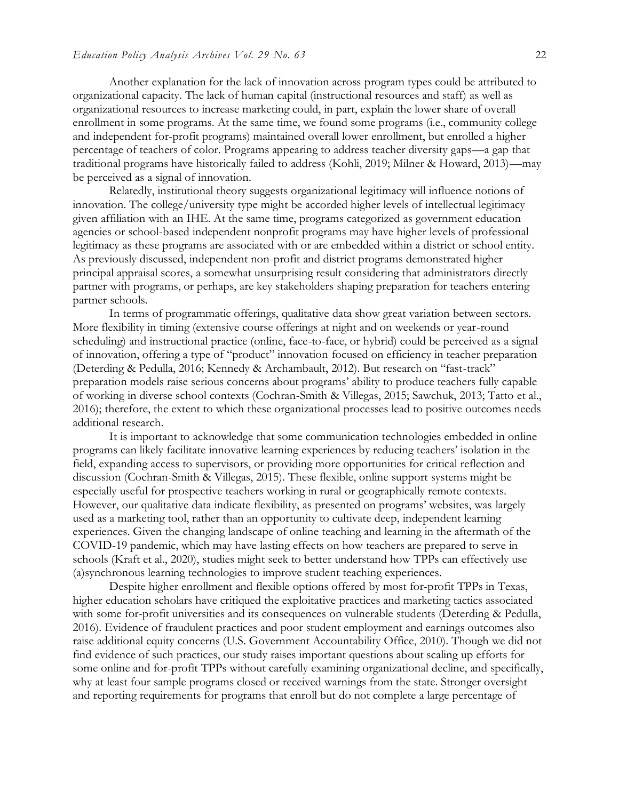Another explanation for the lack of innovation across program types could be attributed to organizational capacity. The lack of human capital (instructional resources and staff) as well as organizational resources to increase marketing could, in part, explain the lower share of overall enrollment in some programs. At the same time, we found some programs (i.e., community college and independent for-profit programs) maintained overall lower enrollment, but enrolled a higher percentage of teachers of color. Programs appearing to address teacher diversity gaps—a gap that traditional programs have historically failed to address (Kohli, 2019; Milner & Howard, 2013)—may be perceived as a signal of innovation.

Relatedly, institutional theory suggests organizational legitimacy will influence notions of innovation. The college/university type might be accorded higher levels of intellectual legitimacy given affiliation with an IHE. At the same time, programs categorized as government education agencies or school-based independent nonprofit programs may have higher levels of professional legitimacy as these programs are associated with or are embedded within a district or school entity. As previously discussed, independent non-profit and district programs demonstrated higher principal appraisal scores, a somewhat unsurprising result considering that administrators directly partner with programs, or perhaps, are key stakeholders shaping preparation for teachers entering partner schools.

In terms of programmatic offerings, qualitative data show great variation between sectors. More flexibility in timing (extensive course offerings at night and on weekends or year-round scheduling) and instructional practice (online, face-to-face, or hybrid) could be perceived as a signal of innovation, offering a type of "product" innovation focused on efficiency in teacher preparation (Deterding & Pedulla, 2016; Kennedy & Archambault, 2012). But research on "fast-track" preparation models raise serious concerns about programs' ability to produce teachers fully capable of working in diverse school contexts (Cochran-Smith & Villegas, 2015; Sawchuk, 2013; Tatto et al., 2016); therefore, the extent to which these organizational processes lead to positive outcomes needs additional research.

It is important to acknowledge that some communication technologies embedded in online programs can likely facilitate innovative learning experiences by reducing teachers' isolation in the field, expanding access to supervisors, or providing more opportunities for critical reflection and discussion (Cochran-Smith & Villegas, 2015). These flexible, online support systems might be especially useful for prospective teachers working in rural or geographically remote contexts. However, our qualitative data indicate flexibility, as presented on programs' websites, was largely used as a marketing tool, rather than an opportunity to cultivate deep, independent learning experiences. Given the changing landscape of online teaching and learning in the aftermath of the COVID-19 pandemic, which may have lasting effects on how teachers are prepared to serve in schools (Kraft et al., 2020), studies might seek to better understand how TPPs can effectively use (a)synchronous learning technologies to improve student teaching experiences.

Despite higher enrollment and flexible options offered by most for-profit TPPs in Texas, higher education scholars have critiqued the exploitative practices and marketing tactics associated with some for-profit universities and its consequences on vulnerable students (Deterding & Pedulla, 2016). Evidence of fraudulent practices and poor student employment and earnings outcomes also raise additional equity concerns (U.S. Government Accountability Office, 2010). Though we did not find evidence of such practices, our study raises important questions about scaling up efforts for some online and for-profit TPPs without carefully examining organizational decline, and specifically, why at least four sample programs closed or received warnings from the state. Stronger oversight and reporting requirements for programs that enroll but do not complete a large percentage of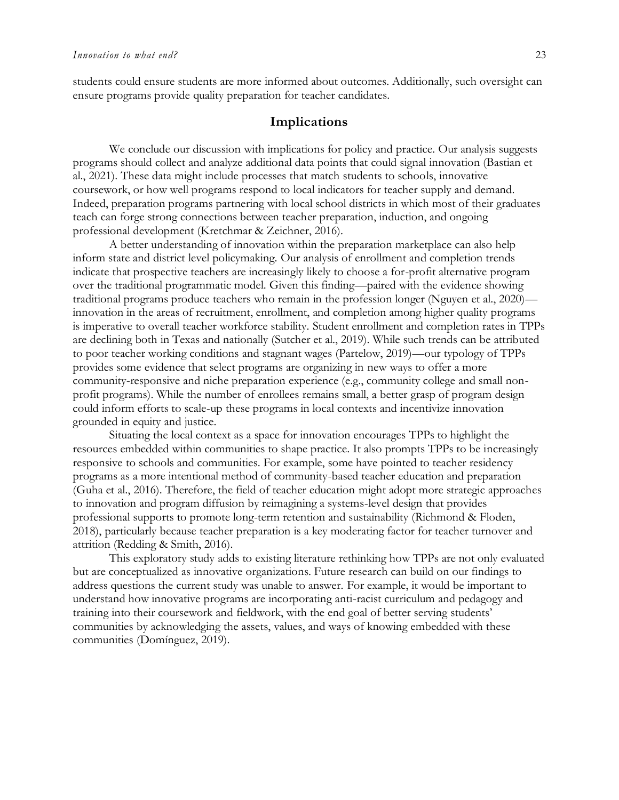students could ensure students are more informed about outcomes. Additionally, such oversight can ensure programs provide quality preparation for teacher candidates.

### **Implications**

We conclude our discussion with implications for policy and practice. Our analysis suggests programs should collect and analyze additional data points that could signal innovation (Bastian et al., 2021). These data might include processes that match students to schools, innovative coursework, or how well programs respond to local indicators for teacher supply and demand. Indeed, preparation programs partnering with local school districts in which most of their graduates teach can forge strong connections between teacher preparation, induction, and ongoing professional development (Kretchmar & Zeichner, 2016).

A better understanding of innovation within the preparation marketplace can also help inform state and district level policymaking. Our analysis of enrollment and completion trends indicate that prospective teachers are increasingly likely to choose a for-profit alternative program over the traditional programmatic model. Given this finding—paired with the evidence showing traditional programs produce teachers who remain in the profession longer (Nguyen et al., 2020) innovation in the areas of recruitment, enrollment, and completion among higher quality programs is imperative to overall teacher workforce stability. Student enrollment and completion rates in TPPs are declining both in Texas and nationally (Sutcher et al., 2019). While such trends can be attributed to poor teacher working conditions and stagnant wages (Partelow, 2019)—our typology of TPPs provides some evidence that select programs are organizing in new ways to offer a more community-responsive and niche preparation experience (e.g., community college and small nonprofit programs). While the number of enrollees remains small, a better grasp of program design could inform efforts to scale-up these programs in local contexts and incentivize innovation grounded in equity and justice.

Situating the local context as a space for innovation encourages TPPs to highlight the resources embedded within communities to shape practice. It also prompts TPPs to be increasingly responsive to schools and communities. For example, some have pointed to teacher residency programs as a more intentional method of community-based teacher education and preparation (Guha et al., 2016). Therefore, the field of teacher education might adopt more strategic approaches to innovation and program diffusion by reimagining a systems-level design that provides professional supports to promote long-term retention and sustainability (Richmond & Floden, 2018), particularly because teacher preparation is a key moderating factor for teacher turnover and attrition (Redding & Smith, 2016).

This exploratory study adds to existing literature rethinking how TPPs are not only evaluated but are conceptualized as innovative organizations. Future research can build on our findings to address questions the current study was unable to answer. For example, it would be important to understand how innovative programs are incorporating anti-racist curriculum and pedagogy and training into their coursework and fieldwork, with the end goal of better serving students' communities by acknowledging the assets, values, and ways of knowing embedded with these communities (Domínguez, 2019).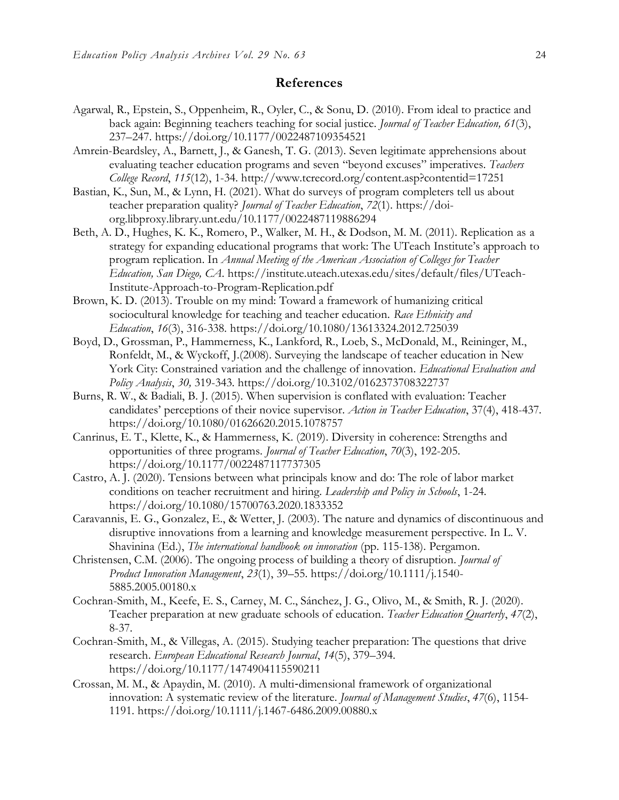### **References**

- Agarwal, R., Epstein, S., Oppenheim, R., Oyler, C., & Sonu, D. (2010). From ideal to practice and back again: Beginning teachers teaching for social justice. *Journal of Teacher Education, 61*(3), 237–247. https://doi.org/10.1177/0022487109354521
- Amrein-Beardsley, A., Barnett, J., & Ganesh, T. G. (2013). Seven legitimate apprehensions about evaluating teacher education programs and seven "beyond excuses" imperatives. *Teachers College Record*, *115*(12), 1-34. http://www.tcrecord.org/content.asp?contentid=17251
- Bastian, K., Sun, M., & Lynn, H. (2021). What do surveys of program completers tell us about teacher preparation quality? *Journal of Teacher Education*, *72*(1). https://doiorg.libproxy.library.unt.edu/10.1177/0022487119886294
- Beth, A. D., Hughes, K. K., Romero, P., Walker, M. H., & Dodson, M. M. (2011). Replication as a strategy for expanding educational programs that work: The UTeach Institute's approach to program replication. In *Annual Meeting of the American Association of Colleges for Teacher Education, San Diego, CA*. https://institute.uteach.utexas.edu/sites/default/files/UTeach-Institute-Approach-to-Program-Replication.pdf
- Brown, K. D. (2013). Trouble on my mind: Toward a framework of humanizing critical sociocultural knowledge for teaching and teacher education. *Race Ethnicity and Education*, *16*(3), 316-338. https://doi.org/10.1080/13613324.2012.725039
- Boyd, D., Grossman, P., Hammerness, K., Lankford, R., Loeb, S., McDonald, M., Reininger, M., Ronfeldt, M., & Wyckoff, J.(2008). Surveying the landscape of teacher education in New York City: Constrained variation and the challenge of innovation. *Educational Evaluation and Policy Analysis*, *30,* 319-343. https://doi.org/10.3102/0162373708322737
- Burns, R. W., & Badiali, B. J. (2015). When supervision is conflated with evaluation: Teacher candidates' perceptions of their novice supervisor. *Action in Teacher Education*, 37(4), 418-437. https://doi.org/10.1080/01626620.2015.1078757
- Canrinus, E. T., Klette, K., & Hammerness, K. (2019). Diversity in coherence: Strengths and opportunities of three programs. *Journal of Teacher Education*, *70*(3), 192-205. https://doi.org/10.1177/0022487117737305
- Castro, A. J. (2020). Tensions between what principals know and do: The role of labor market conditions on teacher recruitment and hiring. *Leadership and Policy in Schools*, 1-24. https://doi.org/10.1080/15700763.2020.1833352
- Caravannis, E. G., Gonzalez, E., & Wetter, J. (2003). The nature and dynamics of discontinuous and disruptive innovations from a learning and knowledge measurement perspective. In L. V. Shavinina (Ed.), *The international handbook on innovation* (pp. 115-138). Pergamon.
- Christensen, C.M. (2006). The ongoing process of building a theory of disruption. *Journal of Product Innovation Management*, *23*(1), 39–55. https://doi.org/10.1111/j.1540- 5885.2005.00180.x
- Cochran-Smith, M., Keefe, E. S., Carney, M. C., Sánchez, J. G., Olivo, M., & Smith, R. J. (2020). Teacher preparation at new graduate schools of education. *Teacher Education Quarterly*, *47*(2), 8-37.
- Cochran-Smith, M., & Villegas, A. (2015). Studying teacher preparation: The questions that drive research. *European Educational Research Journal*, *14*(5), 379–394. https://doi.org/10.1177/1474904115590211
- Crossan, M. M., & Apaydin, M. (2010). A multi‐dimensional framework of organizational innovation: A systematic review of the literature. *Journal of Management Studies*, *47*(6), 1154- 1191. https://doi.org/10.1111/j.1467-6486.2009.00880.x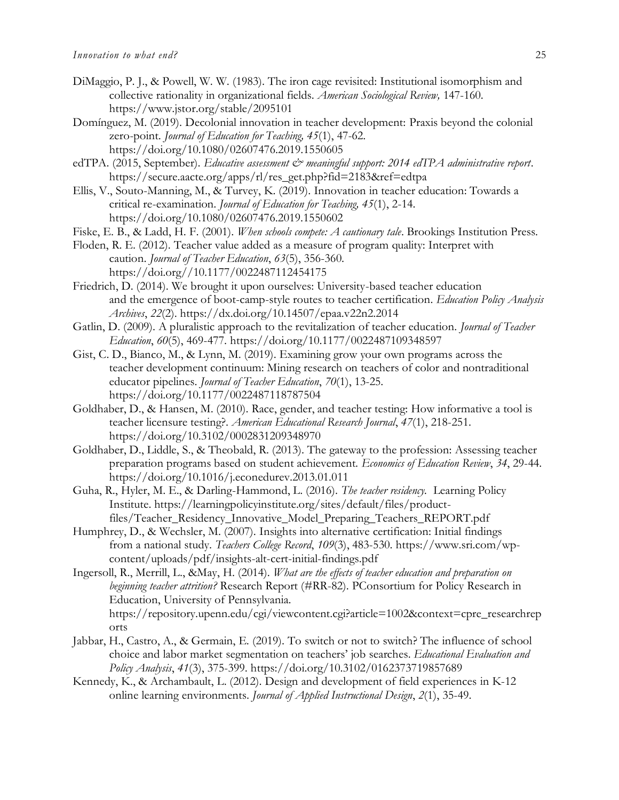- DiMaggio, P. J., & Powell, W. W. (1983). The iron cage revisited: Institutional isomorphism and collective rationality in organizational fields. *American Sociological Review,* 147-160. https://www.jstor.org/stable/2095101
- Domínguez, M. (2019). Decolonial innovation in teacher development: Praxis beyond the colonial zero-point. *Journal of Education for Teaching, 45*(1), 47-62. https://doi.org/10.1080/02607476.2019.1550605
- edTPA. (2015, September). *Educative assessment & meaningful support: 2014 edTPA administrative report*. https://secure.aacte.org/apps/rl/res\_get.php?fid=2183&ref=edtpa
- Ellis, V., Souto-Manning, M., & Turvey, K. (2019). Innovation in teacher education: Towards a critical re-examination. *Journal of Education for Teaching, 45*(1), 2-14. https://doi.org/10.1080/02607476.2019.1550602
- Fiske, E. B., & Ladd, H. F. (2001). *When schools compete: A cautionary tale*. Brookings Institution Press.
- Floden, R. E. (2012). Teacher value added as a measure of program quality: Interpret with caution. *Journal of Teacher Education*, *63*(5), 356-360. https://doi.org//10.1177/0022487112454175
- Friedrich, D. (2014). We brought it upon ourselves: University-based teacher education and the emergence of boot-camp-style routes to teacher certification. *Education Policy Analysis Archives*, *22*(2).<https://dx.doi.org/10.14507/epaa.v22n2.2014>
- Gatlin, D. (2009). A pluralistic approach to the revitalization of teacher education. *Journal of Teacher Education*, *60*(5), 469-477. https://doi.org/10.1177/0022487109348597
- Gist, C. D., Bianco, M., & Lynn, M. (2019). Examining grow your own programs across the teacher development continuum: Mining research on teachers of color and nontraditional educator pipelines. *Journal of Teacher Education*, *70*(1), 13-25. https://doi.org/10.1177/0022487118787504
- Goldhaber, D., & Hansen, M. (2010). Race, gender, and teacher testing: How informative a tool is teacher licensure testing?. *American Educational Research Journal*, *47*(1), 218-251. https://doi.org/10.3102/0002831209348970
- Goldhaber, D., Liddle, S., & Theobald, R. (2013). The gateway to the profession: Assessing teacher preparation programs based on student achievement. *Economics of Education Review*, *34*, 29-44. https://doi.org/10.1016/j.econedurev.2013.01.011
- Guha, R., Hyler, M. E., & Darling-Hammond, L. (2016). *The teacher residency.* Learning Policy Institute. https://learningpolicyinstitute.org/sites/default/files/productfiles/Teacher\_Residency\_Innovative\_Model\_Preparing\_Teachers\_REPORT.pdf
- Humphrey, D., & Wechsler, M. (2007). Insights into alternative certification: Initial findings from a national study. *Teachers College Record*, *109*(3), 483-530. https://www.sri.com/wpcontent/uploads/pdf/insights-alt-cert-initial-findings.pdf
- Ingersoll, R., Merrill, L., &May, H. (2014). *What are the effects of teacher education and preparation on beginning teacher attrition?* Research Report (#RR-82). PConsortium for Policy Research in Education, University of Pennsylvania. https://repository.upenn.edu/cgi/viewcontent.cgi?article=1002&context=cpre\_researchrep orts
- Jabbar, H., Castro, A., & Germain, E. (2019). To switch or not to switch? The influence of school choice and labor market segmentation on teachers' job searches. *Educational Evaluation and Policy Analysis*, *41*(3), 375-399. https://doi.org/10.3102/0162373719857689
- Kennedy, K., & Archambault, L. (2012). Design and development of field experiences in K-12 online learning environments. *Journal of Applied Instructional Design*, *2*(1), 35-49.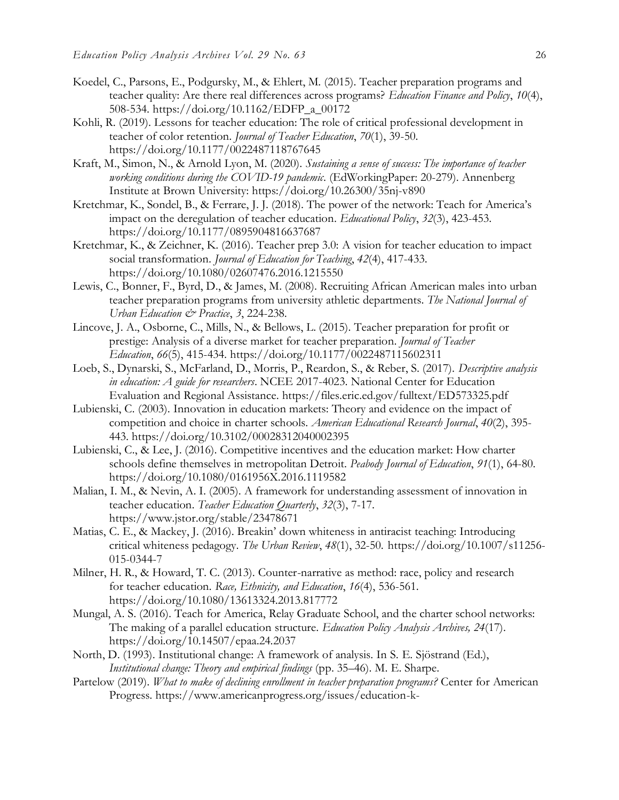- Koedel, C., Parsons, E., Podgursky, M., & Ehlert, M. (2015). Teacher preparation programs and teacher quality: Are there real differences across programs? *Education Finance and Policy*, *10*(4), 508-534. https://doi.org/10.1162/EDFP\_a\_00172
- Kohli, R. (2019). Lessons for teacher education: The role of critical professional development in teacher of color retention. *Journal of Teacher Education*, *70*(1), 39-50. https://doi.org/10.1177/0022487118767645
- Kraft, M., Simon, N., & Arnold Lyon, M. (2020). *Sustaining a sense of success: The importance of teacher working conditions during the COVID-19 pandemic*. (EdWorkingPaper: 20-279)[.](https://doi.org/Retrieved%20from%20Annenberg%20Institute%20at%20Brown%20University:%20https:/doi.org/10.26300/35nj-v890) [Annenberg](https://doi.org/Retrieved%20from%20Annenberg%20Institute%20at%20Brown%20University:%20https:/doi.org/10.26300/35nj-v890)  [Institute at Brown University:](https://doi.org/Retrieved%20from%20Annenberg%20Institute%20at%20Brown%20University:%20https:/doi.org/10.26300/35nj-v890) <https://doi.org/10.26300/35nj-v890>
- Kretchmar, K., Sondel, B., & Ferrare, J. J. (2018). The power of the network: Teach for America's impact on the deregulation of teacher education. *Educational Policy*, *32*(3), 423-453. https://doi.org[/10.1177/0895904816637687](https://doi-org.libproxy.library.unt.edu/10.1177/0895904816637687)
- Kretchmar, K., & Zeichner, K. (2016). Teacher prep 3.0: A vision for teacher education to impact social transformation. *Journal of Education for Teaching*, *42*(4), 417-433. https://doi.org/10.1080/02607476.2016.1215550
- Lewis, C., Bonner, F., Byrd, D., & James, M. (2008). Recruiting African American males into urban teacher preparation programs from university athletic departments. *The National Journal of Urban Education & Practice*, *3*, 224-238.
- Lincove, J. A., Osborne, C., Mills, N., & Bellows, L. (2015). Teacher preparation for profit or prestige: Analysis of a diverse market for teacher preparation. *Journal of Teacher Education*, *66*(5), 415-434. https://doi.org/10.1177/0022487115602311
- Loeb, S., Dynarski, S., McFarland, D., Morris, P., Reardon, S., & Reber, S. (2017). *Descriptive analysis in education: A guide for researchers*. NCEE 2017-4023. National Center for Education Evaluation and Regional Assistance. https://files.eric.ed.gov/fulltext/ED573325.pdf
- Lubienski, C. (2003). Innovation in education markets: Theory and evidence on the impact of competition and choice in charter schools. *American Educational Research Journal*, *40*(2), 395- 443. https://doi.org/10.3102/00028312040002395
- Lubienski, C., & Lee, J. (2016). Competitive incentives and the education market: How charter schools define themselves in metropolitan Detroit. *Peabody Journal of Education*, *91*(1), 64-80. https://doi.org/10.1080/0161956X.2016.1119582
- Malian, I. M., & Nevin, A. I. (2005). A framework for understanding assessment of innovation in teacher education. *Teacher Education Quarterly*, *32*(3), 7-17. https://www.jstor.org/stable/23478671
- Matias, C. E., & Mackey, J. (2016). Breakin' down whiteness in antiracist teaching: Introducing critical whiteness pedagogy. *The Urban Review*, *48*(1), 32-50. https://doi.org/10.1007/s11256- 015-0344-7
- Milner, H. R., & Howard, T. C. (2013). Counter-narrative as method: race, policy and research for teacher education. *Race, Ethnicity, and Education*, *16*(4), 536-561. https://doi.org/10.1080/13613324.2013.817772
- Mungal, A. S. (2016). Teach for America, Relay Graduate School, and the charter school networks: The making of a parallel education structure. *Education Policy Analysis Archives, 24*(17). https://doi.org/10.14507/epaa.24.2037
- North, D. (1993). Institutional change: A framework of analysis. In S. E. Sjöstrand (Ed.), *Institutional change: Theory and empirical findings* (pp. 35–46). M. E. Sharpe.
- Partelow (2019). *What to make of declining enrollment in teacher preparation programs?* Center for American Progress. [https://www.americanprogress.org/issues/education-k-](https://www.americanprogress.org/issues/education-k-12/reports/2019/12/03/477311/make-declining-enrollment-teacher-preparation-programs/)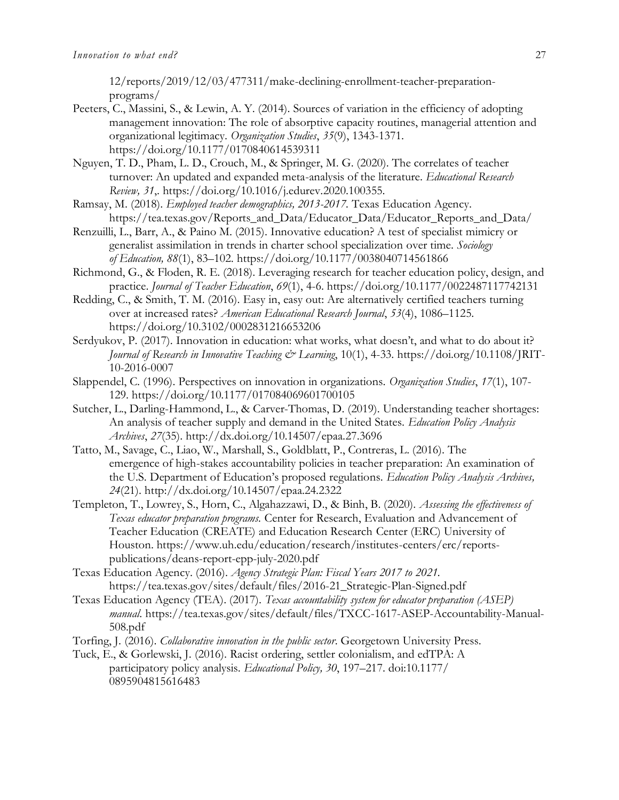[12/reports/2019/12/03/477311/make-declining-enrollment-teacher-preparation](https://www.americanprogress.org/issues/education-k-12/reports/2019/12/03/477311/make-declining-enrollment-teacher-preparation-programs/)[programs/](https://www.americanprogress.org/issues/education-k-12/reports/2019/12/03/477311/make-declining-enrollment-teacher-preparation-programs/)

- Peeters, C., Massini, S., & Lewin, A. Y. (2014). Sources of variation in the efficiency of adopting management innovation: The role of absorptive capacity routines, managerial attention and organizational legitimacy. *Organization Studies*, *35*(9), 1343-1371. https://doi.org/10.1177/0170840614539311
- Nguyen, T. D., Pham, L. D., Crouch, M., & Springer, M. G. (2020). The correlates of teacher turnover: An updated and expanded meta-analysis of the literature. *Educational Research Review, 31*,. https://doi.org/10.1016/j.edurev.2020.100355.
- Ramsay, M. (2018). *Employed teacher demographics, 2013-2017.* Texas Education Agency. https://tea.texas.gov/Reports\_and\_Data/Educator\_Data/Educator\_Reports\_and\_Data/
- Renzuilli, L., Barr, A., & Paino M. (2015). Innovative education? A test of specialist mimicry or generalist assimilation in trends in charter school specialization over time. *Sociology of Education, 88*(1), 83–102. https://doi.org/10.1177/0038040714561866
- Richmond, G., & Floden, R. E. (2018). Leveraging research for teacher education policy, design, and practice. *Journal of Teacher Education*, *69*(1), 4-6. https://doi.org[/10.1177/0022487117742131](https://doi-org.libproxy.library.unt.edu/10.1177/0022487117742131)
- Redding, C., & Smith, T. M. (2016). Easy in, easy out: Are alternatively certified teachers turning over at increased rates? *American Educational Research Journal*, *53*(4), 1086–1125. https://doi.org/10.3102/0002831216653206
- Serdyukov, P. (2017). Innovation in education: what works, what doesn't, and what to do about it? *Journal of Research in Innovative Teaching & Learning*, 10(1), 4-33. https://doi.org/10.1108/JRIT-10-2016-0007
- Slappendel, C. (1996). Perspectives on innovation in organizations. *Organization Studies*, *17*(1), 107- 129. https://doi.org/10.1177/017084069601700105
- Sutcher, L., Darling-Hammond, L., & Carver-Thomas, D. (2019). Understanding teacher shortages: An analysis of teacher supply and demand in the United States. *Education Policy Analysis Archives*, *27*(35). http://dx.doi.org/10.14507/epaa.27.3696
- Tatto, M., Savage, C., Liao, W., Marshall, S., Goldblatt, P., Contreras, L. (2016). The emergence of high-stakes accountability policies in teacher preparation: An examination of the U.S. Department of Education's proposed regulations. *Education Policy Analysis Archives, 24*(21). http://dx.doi.org/10.14507/epaa.24.2322
- Templeton, T., Lowrey, S., Horn, C., Algahazzawi, D., & Binh, B. (2020). *Assessing the effectiveness of Texas educator preparation programs.* Center for Research, Evaluation and Advancement of Teacher Education (CREATE) and Education Research Center (ERC) University of Houston. https://www.uh.edu/education/research/institutes-centers/erc/reportspublications/deans-report-epp-july-2020.pdf
- Texas Education Agency. (2016). *Agency Strategic Plan: Fiscal Years 2017 to 2021.* https://tea.texas.gov/sites/default/files/2016-21\_Strategic-Plan-Signed.pdf
- Texas Education Agency (TEA). (2017). *Texas accountability system for educator preparation (ASEP) manual*. https://tea.texas.gov/sites/default/files/TXCC-1617-ASEP-Accountability-Manual-508.pdf
- Torfing, J. (2016). *Collaborative innovation in the public sector*. Georgetown University Press.
- Tuck, E., & Gorlewski, J. (2016). Racist ordering, settler colonialism, and edTPA: A participatory policy analysis. *Educational Policy, 30*, 197–217. doi:10.1177/ 0895904815616483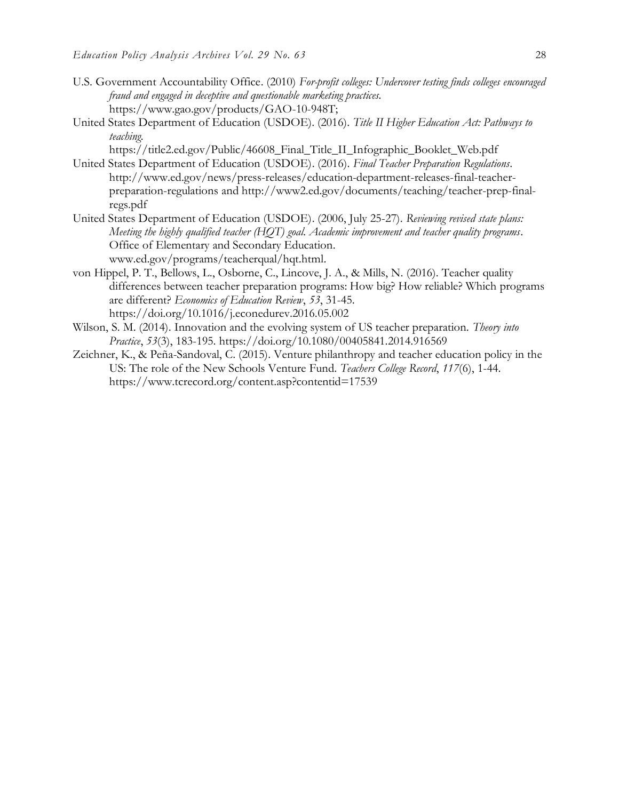- U.S. Government Accountability Office. (2010) *For-profit colleges: Undercover testing finds colleges encouraged fraud and engaged in deceptive and questionable marketing practices.* https://www.gao.gov/products/GAO-10-948T;
- United States Department of Education (USDOE). (2016). *Title II Higher Education Act: Pathways to teaching.*

https://title2.ed.gov/Public/46608\_Final\_Title\_II\_Infographic\_Booklet\_Web.pdf

- United States Department of Education (USDOE). (2016). *Final Teacher Preparation Regulations*. [http://www.ed.gov/news/press-releases/education-department-releases-final-teacher](http://www.ed.gov/news/press-releases/education-department-releases-final-teacher-preparation-regulations)[preparation-regulations](http://www.ed.gov/news/press-releases/education-department-releases-final-teacher-preparation-regulations) and [http://www2.ed.gov/documents/teaching/teacher-prep-final](http://www2.ed.gov/documents/teaching/teacher-prep-final-regs.pdf)[regs.pdf](http://www2.ed.gov/documents/teaching/teacher-prep-final-regs.pdf)
- United States Department of Education (USDOE). (2006, July 25-27). *Reviewing revised state plans: Meeting the highly qualified teacher (HQT) goal. Academic improvement and teacher quality programs*. Office of Elementary and Secondary Education. [www.ed.gov/programs/teacherqual/hqt.html.](http://www.ed.gov/programs/teacherqual/hqt.html)
- von Hippel, P. T., Bellows, L., Osborne, C., Lincove, J. A., & Mills, N. (2016). Teacher quality differences between teacher preparation programs: How big? How reliable? Which programs are different? *Economics of Education Review*, *53*, 31-45. https://doi.org/10.1016/j.econedurev.2016.05.002
- Wilson, S. M. (2014). Innovation and the evolving system of US teacher preparation. *Theory into Practice*, *53*(3), 183-195. https://doi.org/10.1080/00405841.2014.916569
- Zeichner, K., & Peña-Sandoval, C. (2015). Venture philanthropy and teacher education policy in the US: The role of the New Schools Venture Fund. *Teachers College Record*, *117*(6), 1-44. <https://www.tcrecord.org/content.asp?contentid=17539>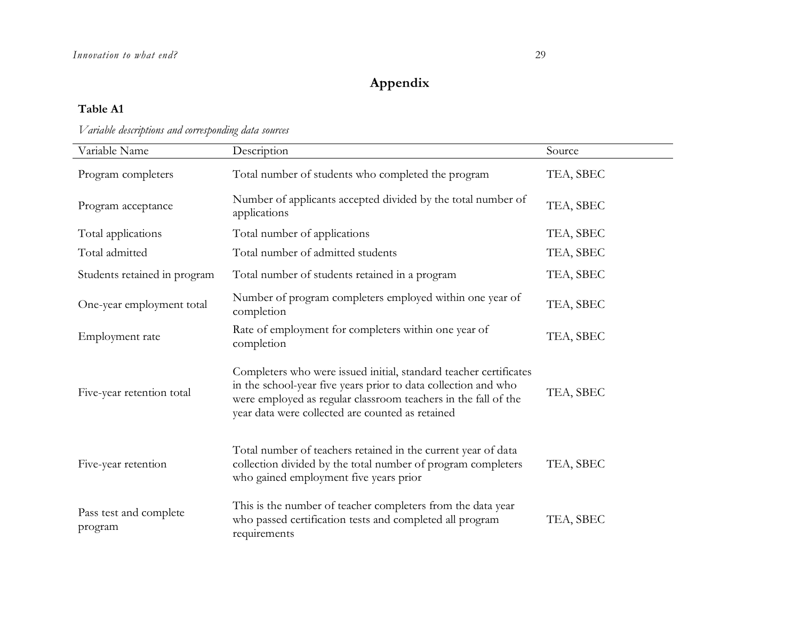## **Appendix**

### **Table A1**

### *Variable descriptions and corresponding data sources*

| Variable Name                     | Description                                                                                                                                                                                                                                               | Source    |
|-----------------------------------|-----------------------------------------------------------------------------------------------------------------------------------------------------------------------------------------------------------------------------------------------------------|-----------|
| Program completers                | Total number of students who completed the program                                                                                                                                                                                                        | TEA, SBEC |
| Program acceptance                | Number of applicants accepted divided by the total number of<br>applications                                                                                                                                                                              | TEA, SBEC |
| Total applications                | Total number of applications                                                                                                                                                                                                                              | TEA, SBEC |
| Total admitted                    | Total number of admitted students                                                                                                                                                                                                                         | TEA, SBEC |
| Students retained in program      | Total number of students retained in a program                                                                                                                                                                                                            | TEA, SBEC |
| One-year employment total         | Number of program completers employed within one year of<br>completion                                                                                                                                                                                    | TEA, SBEC |
| Employment rate                   | Rate of employment for completers within one year of<br>completion                                                                                                                                                                                        | TEA, SBEC |
| Five-year retention total         | Completers who were issued initial, standard teacher certificates<br>in the school-year five years prior to data collection and who<br>were employed as regular classroom teachers in the fall of the<br>year data were collected are counted as retained | TEA, SBEC |
| Five-year retention               | Total number of teachers retained in the current year of data<br>collection divided by the total number of program completers<br>who gained employment five years prior                                                                                   | TEA, SBEC |
| Pass test and complete<br>program | This is the number of teacher completers from the data year<br>who passed certification tests and completed all program<br>requirements                                                                                                                   | TEA, SBEC |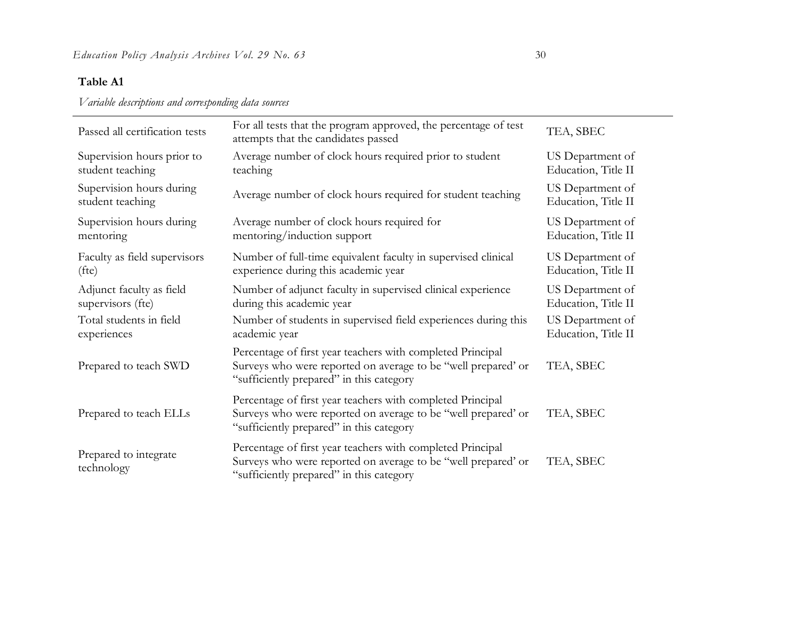*Variable descriptions and corresponding data sources*

| Passed all certification tests               | For all tests that the program approved, the percentage of test<br>attempts that the candidates passed                                                                  | TEA, SBEC                               |
|----------------------------------------------|-------------------------------------------------------------------------------------------------------------------------------------------------------------------------|-----------------------------------------|
| Supervision hours prior to                   | Average number of clock hours required prior to student                                                                                                                 | US Department of                        |
| student teaching                             | teaching                                                                                                                                                                | Education, Title II                     |
| Supervision hours during<br>student teaching | Average number of clock hours required for student teaching                                                                                                             | US Department of<br>Education, Title II |
| Supervision hours during                     | Average number of clock hours required for                                                                                                                              | US Department of                        |
| mentoring                                    | mentoring/induction support                                                                                                                                             | Education, Title II                     |
| Faculty as field supervisors                 | Number of full-time equivalent faculty in supervised clinical                                                                                                           | US Department of                        |
| (fte)                                        | experience during this academic year                                                                                                                                    | Education, Title II                     |
| Adjunct faculty as field                     | Number of adjunct faculty in supervised clinical experience                                                                                                             | US Department of                        |
| supervisors (fte)                            | during this academic year                                                                                                                                               | Education, Title II                     |
| Total students in field                      | Number of students in supervised field experiences during this                                                                                                          | US Department of                        |
| experiences                                  | academic year                                                                                                                                                           | Education, Title II                     |
| Prepared to teach SWD                        | Percentage of first year teachers with completed Principal<br>Surveys who were reported on average to be "well prepared' or<br>"sufficiently prepared" in this category | TEA, SBEC                               |
| Prepared to teach ELLs                       | Percentage of first year teachers with completed Principal<br>Surveys who were reported on average to be "well prepared' or<br>"sufficiently prepared" in this category | TEA, SBEC                               |
| Prepared to integrate<br>technology          | Percentage of first year teachers with completed Principal<br>Surveys who were reported on average to be "well prepared' or<br>"sufficiently prepared" in this category | TEA, SBEC                               |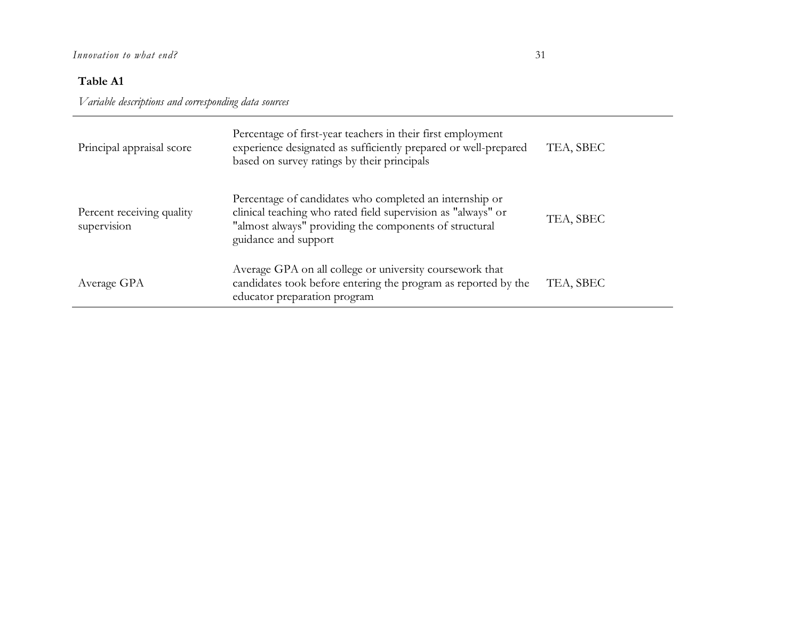*Variable descriptions and corresponding data sources*

| Principal appraisal score                | Percentage of first-year teachers in their first employment<br>experience designated as sufficiently prepared or well-prepared<br>based on survey ratings by their principals                             | TEA, SBEC |
|------------------------------------------|-----------------------------------------------------------------------------------------------------------------------------------------------------------------------------------------------------------|-----------|
| Percent receiving quality<br>supervision | Percentage of candidates who completed an internship or<br>clinical teaching who rated field supervision as "always" or<br>"almost always" providing the components of structural<br>guidance and support | TEA, SBEC |
| Average GPA                              | Average GPA on all college or university coursework that<br>candidates took before entering the program as reported by the<br>educator preparation program                                                | TEA, SBEC |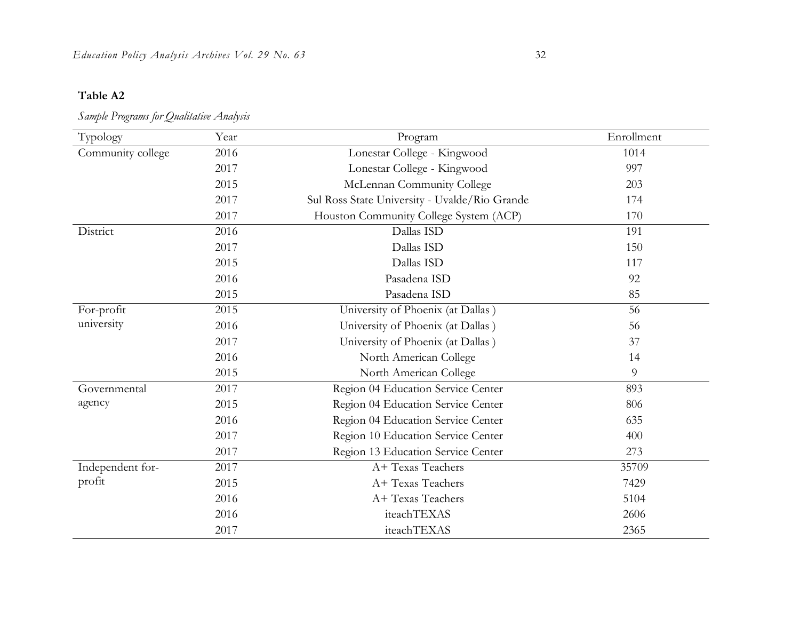| Typology          | Year | Program                                       | Enrollment |
|-------------------|------|-----------------------------------------------|------------|
| Community college | 2016 | Lonestar College - Kingwood                   | 1014       |
|                   | 2017 | Lonestar College - Kingwood                   | 997        |
|                   | 2015 | McLennan Community College                    | 203        |
|                   | 2017 | Sul Ross State University - Uvalde/Rio Grande | 174        |
|                   | 2017 | Houston Community College System (ACP)        | 170        |
| District          | 2016 | Dallas ISD                                    | 191        |
|                   | 2017 | Dallas ISD                                    | 150        |
|                   | 2015 | Dallas ISD                                    | 117        |
|                   | 2016 | Pasadena ISD                                  | 92         |
|                   | 2015 | Pasadena ISD                                  | 85         |
| For-profit        | 2015 | University of Phoenix (at Dallas)             | 56         |
| university        | 2016 | University of Phoenix (at Dallas)             | 56         |
|                   | 2017 | University of Phoenix (at Dallas)             | 37         |
|                   | 2016 | North American College                        | 14         |
|                   | 2015 | North American College                        | 9          |
| Governmental      | 2017 | Region 04 Education Service Center            | 893        |
| agency            | 2015 | Region 04 Education Service Center            | 806        |
|                   | 2016 | Region 04 Education Service Center            | 635        |
|                   | 2017 | Region 10 Education Service Center            | 400        |
|                   | 2017 | Region 13 Education Service Center            | 273        |
| Independent for-  | 2017 | A+ Texas Teachers                             | 35709      |
| profit            | 2015 | A+ Texas Teachers                             | 7429       |
|                   | 2016 | A+ Texas Teachers                             | 5104       |
|                   | 2016 | iteachTEXAS                                   | 2606       |
|                   | 2017 | iteachTEXAS                                   | 2365       |

*Sample Programs for Qualitative Analysis*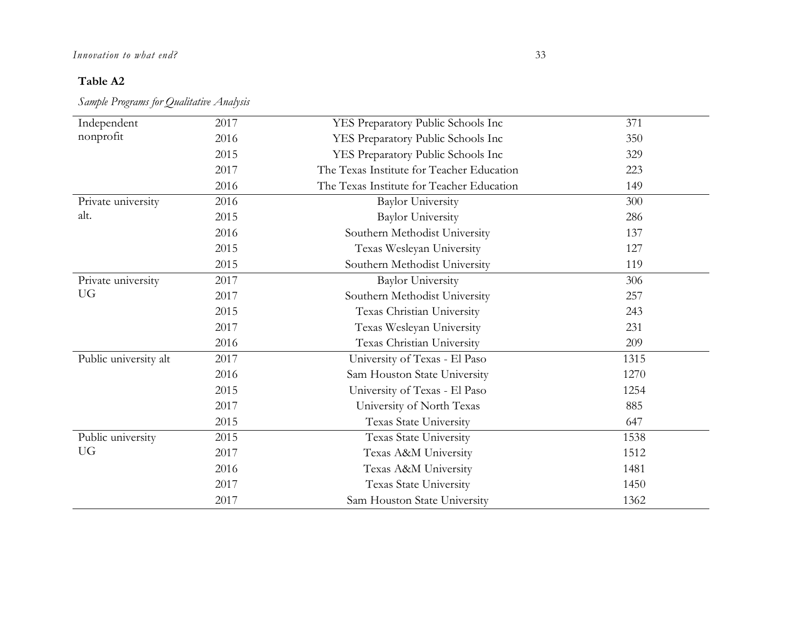### *Innovation to what end?* 33

### **Table A2**

*Sample Programs for Qualitative Analysis*

| Independent           | 2017 | YES Preparatory Public Schools Inc        | 371  |
|-----------------------|------|-------------------------------------------|------|
| nonprofit             | 2016 | YES Preparatory Public Schools Inc        | 350  |
|                       | 2015 | YES Preparatory Public Schools Inc        | 329  |
|                       | 2017 | The Texas Institute for Teacher Education | 223  |
|                       | 2016 | The Texas Institute for Teacher Education | 149  |
| Private university    | 2016 | <b>Baylor University</b>                  | 300  |
| alt.                  | 2015 | <b>Baylor University</b>                  | 286  |
|                       | 2016 | Southern Methodist University             | 137  |
|                       | 2015 | Texas Wesleyan University                 | 127  |
|                       | 2015 | Southern Methodist University             | 119  |
| Private university    | 2017 | <b>Baylor University</b>                  | 306  |
| <b>UG</b>             | 2017 | Southern Methodist University             | 257  |
|                       | 2015 | Texas Christian University                | 243  |
|                       | 2017 | Texas Wesleyan University                 | 231  |
|                       | 2016 | Texas Christian University                | 209  |
| Public university alt | 2017 | University of Texas - El Paso             | 1315 |
|                       | 2016 | Sam Houston State University              | 1270 |
|                       | 2015 | University of Texas - El Paso             | 1254 |
|                       | 2017 | University of North Texas                 | 885  |
|                       | 2015 | Texas State University                    | 647  |
| Public university     | 2015 | Texas State University                    | 1538 |
| <b>UG</b>             | 2017 | Texas A&M University                      | 1512 |
|                       | 2016 | Texas A&M University                      | 1481 |
|                       | 2017 | Texas State University                    | 1450 |
|                       | 2017 | Sam Houston State University              | 1362 |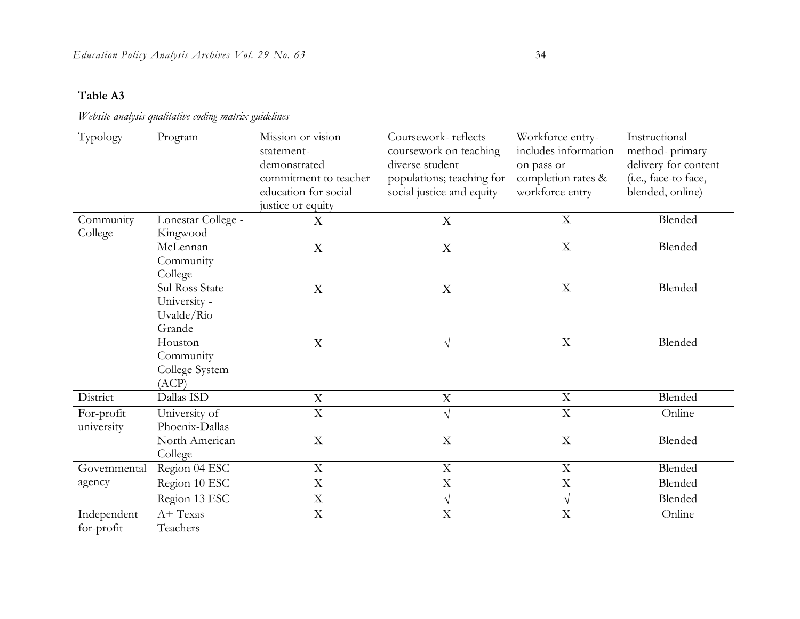### *Website analysis qualitative coding matrix guidelines*

| Typology     | Program            | Mission or vision       | Coursework-reflects       | Workforce entry-     | Instructional        |
|--------------|--------------------|-------------------------|---------------------------|----------------------|----------------------|
|              |                    | statement-              | coursework on teaching    | includes information | method-primary       |
|              |                    | demonstrated            | diverse student           | on pass or           | delivery for content |
|              |                    | commitment to teacher   | populations; teaching for | completion rates &   | (i.e., face-to face, |
|              |                    | education for social    | social justice and equity | workforce entry      | blended, online)     |
|              |                    | justice or equity       |                           |                      |                      |
| Community    | Lonestar College - | X                       | X                         | $\mathbf X$          | Blended              |
| College      | Kingwood           |                         |                           |                      |                      |
|              | McLennan           | X                       | X                         | $\mathbf X$          | Blended              |
|              | Community          |                         |                           |                      |                      |
|              | College            |                         |                           |                      |                      |
|              | Sul Ross State     | X                       | X                         | $\mathbf X$          | Blended              |
|              | University -       |                         |                           |                      |                      |
|              | Uvalde/Rio         |                         |                           |                      |                      |
|              | Grande             |                         |                           |                      |                      |
|              | Houston            | X                       | V                         | $\mathbf X$          | Blended              |
|              | Community          |                         |                           |                      |                      |
|              | College System     |                         |                           |                      |                      |
|              | (ACP)              |                         |                           |                      |                      |
| District     | Dallas ISD         | $\mathbf X$             | $\mathbf X$               | $\mathbf X$          | Blended              |
| For-profit   | University of      | $\overline{\mathrm{X}}$ | $\sqrt{}$                 | $\mathbf X$          | Online               |
| university   | Phoenix-Dallas     |                         |                           |                      |                      |
|              | North American     | $\mathbf X$             | $\boldsymbol{\mathrm{X}}$ | X                    | Blended              |
|              | College            |                         |                           |                      |                      |
| Governmental | Region 04 ESC      | $\mathbf X$             | $\mathbf X$               | $\mathbf X$          | Blended              |
| agency       | Region 10 ESC      | X                       | $\mathbf X$               | X                    | Blended              |
|              | Region 13 ESC      | $\mathbf X$             | $\sqrt{}$                 | $\sqrt{}$            | Blended              |
| Independent  | A+ Texas           | $\mathbf X$             | $\mathbf X$               | $\overline{X}$       | Online               |
| for-profit   | Teachers           |                         |                           |                      |                      |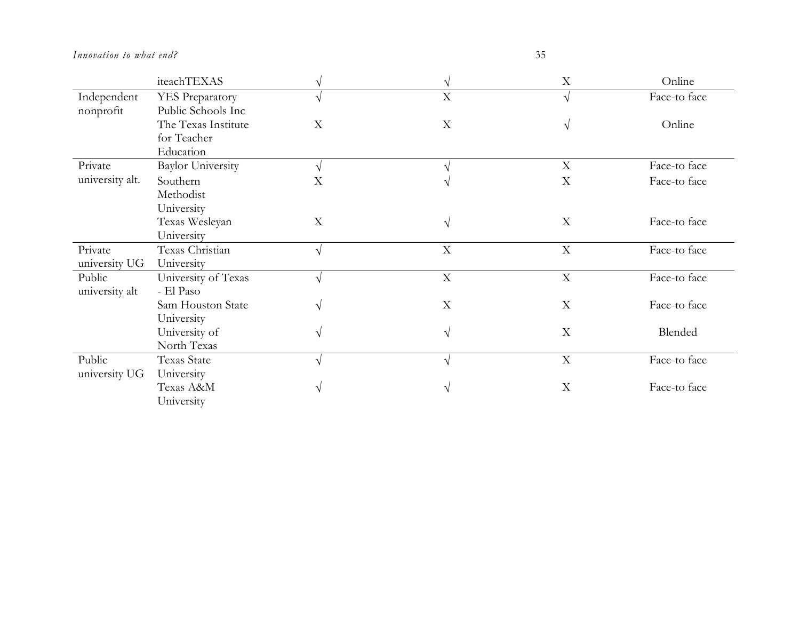|                 | iteachTEXAS              |                           | V                         | X                         | Online       |
|-----------------|--------------------------|---------------------------|---------------------------|---------------------------|--------------|
| Independent     | YES Preparatory          | N                         | $\boldsymbol{\mathrm{X}}$ | V                         | Face-to face |
| nonprofit       | Public Schools Inc       |                           |                           |                           |              |
|                 | The Texas Institute      | $\boldsymbol{\mathrm{X}}$ | $\mathbf X$               | V                         | Online       |
|                 | for Teacher              |                           |                           |                           |              |
|                 | Education                |                           |                           |                           |              |
| Private         | <b>Baylor University</b> | $\sqrt{}$                 |                           | X                         | Face-to face |
| university alt. | Southern                 | X                         |                           | $\mathbf X$               | Face-to face |
|                 | Methodist                |                           |                           |                           |              |
|                 | University               |                           |                           |                           |              |
|                 | Texas Wesleyan           | X                         | V                         | $\boldsymbol{\mathrm{X}}$ | Face-to face |
|                 | University               |                           |                           |                           |              |
| Private         | Texas Christian          | $\sqrt{ }$                | $\boldsymbol{\mathrm{X}}$ | $\mathbf X$               | Face-to face |
| university UG   | University               |                           |                           |                           |              |
| Public          | University of Texas      | $\sqrt{ }$                | $\mathbf X$               | $\mathbf X$               | Face-to face |
| university alt  | - El Paso                |                           |                           |                           |              |
|                 | Sam Houston State        | $\mathcal{N}$             | X                         | X                         | Face-to face |
|                 | University               |                           |                           |                           |              |
|                 | University of            | V                         | $\sqrt{ }$                | $\boldsymbol{\mathrm{X}}$ | Blended      |
|                 | North Texas              |                           |                           |                           |              |
| Public          | Texas State              | $\mathcal{N}$             | $\sqrt{ }$                | X                         | Face-to face |
| university UG   | University               |                           |                           |                           |              |
|                 | Texas A&M                | V                         | V                         | $\boldsymbol{\mathrm{X}}$ | Face-to face |
|                 | University               |                           |                           |                           |              |